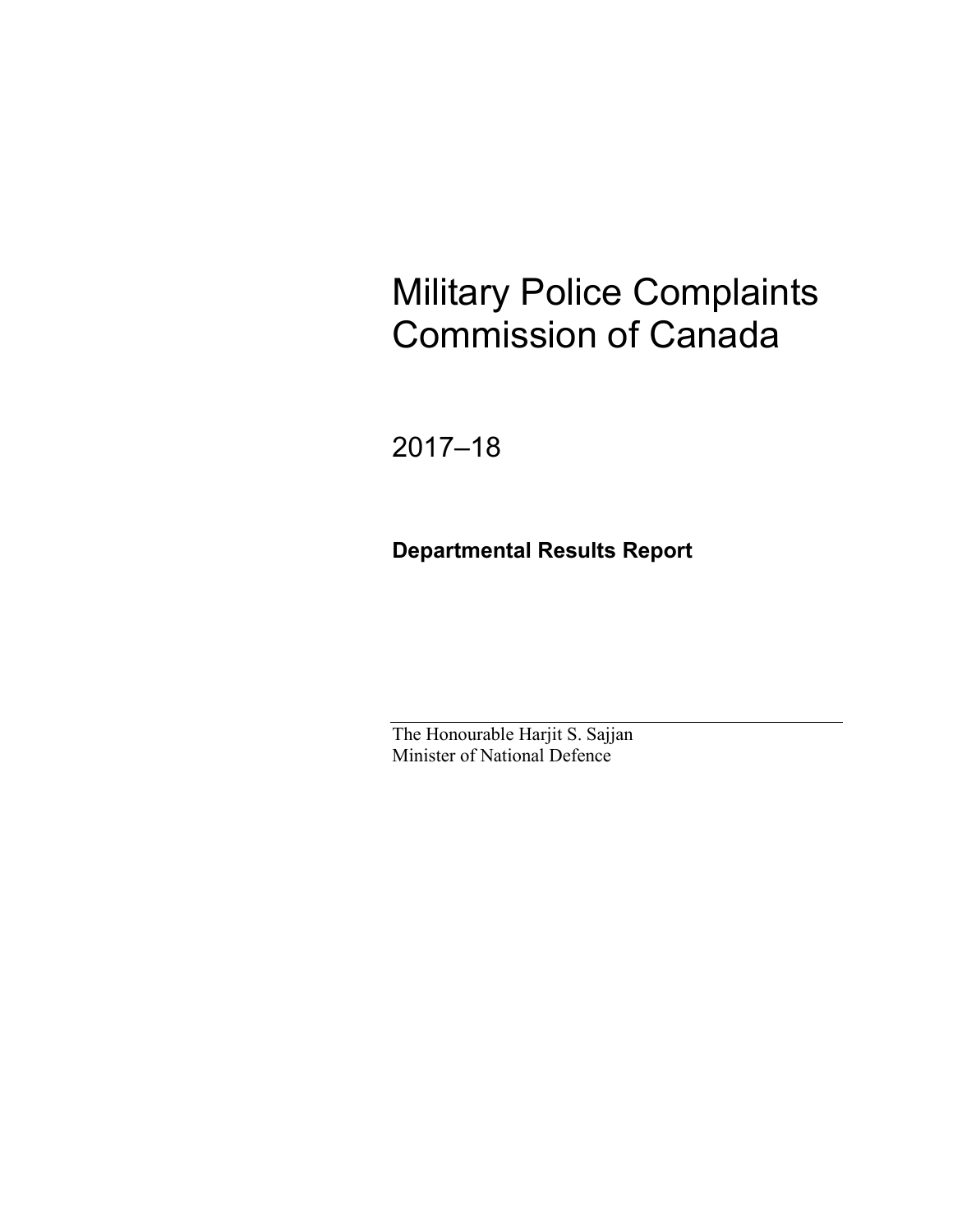# Military Police Complaints Commission of Canada

2017–18

**Departmental Results Report** 

The Honourable Harjit S. Sajjan Minister of National Defence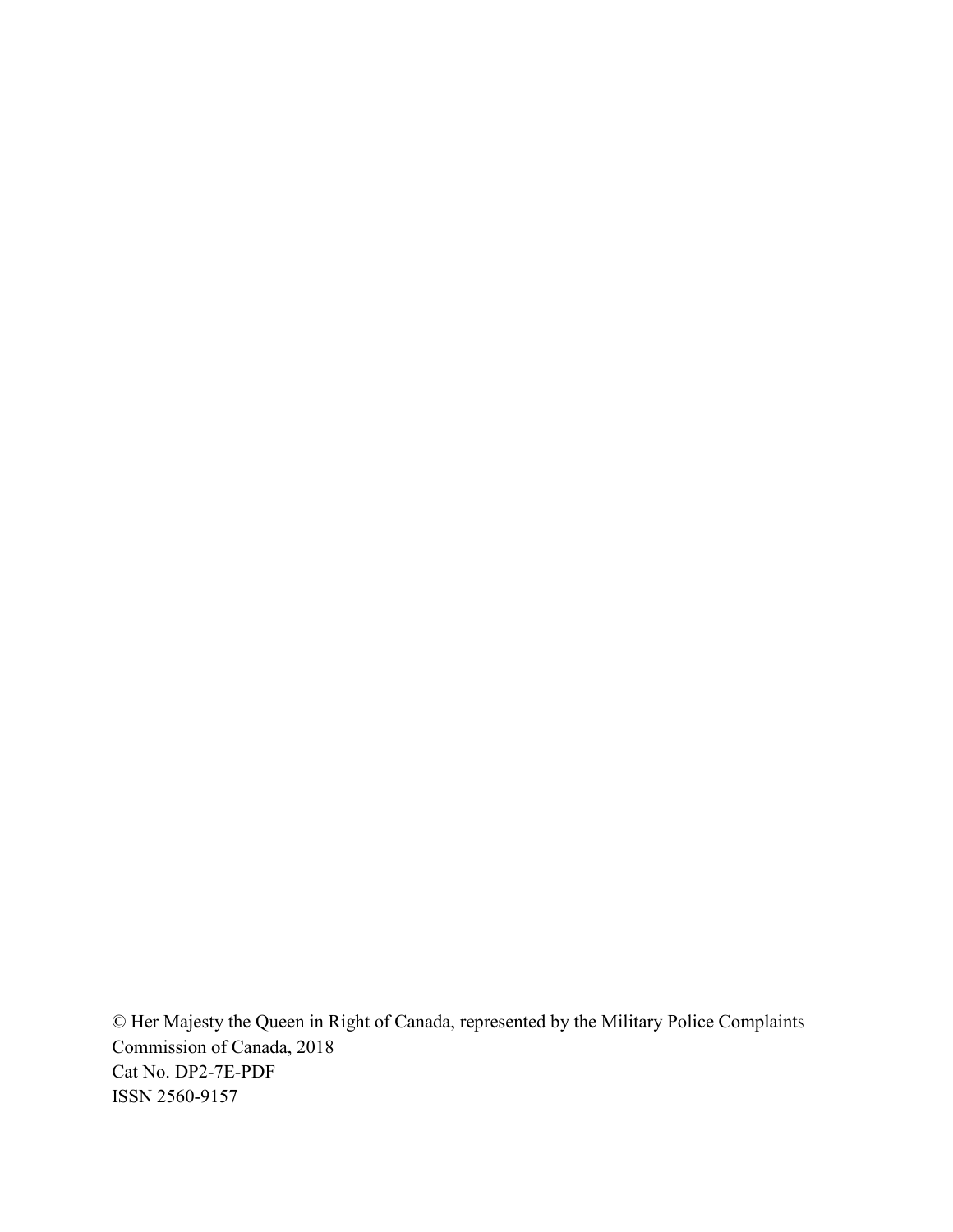© Her Majesty the Queen in Right of Canada, represented by the Military Police Complaints Commission of Canada, 2018 Cat No. DP2-7E-PDF ISSN 2560-9157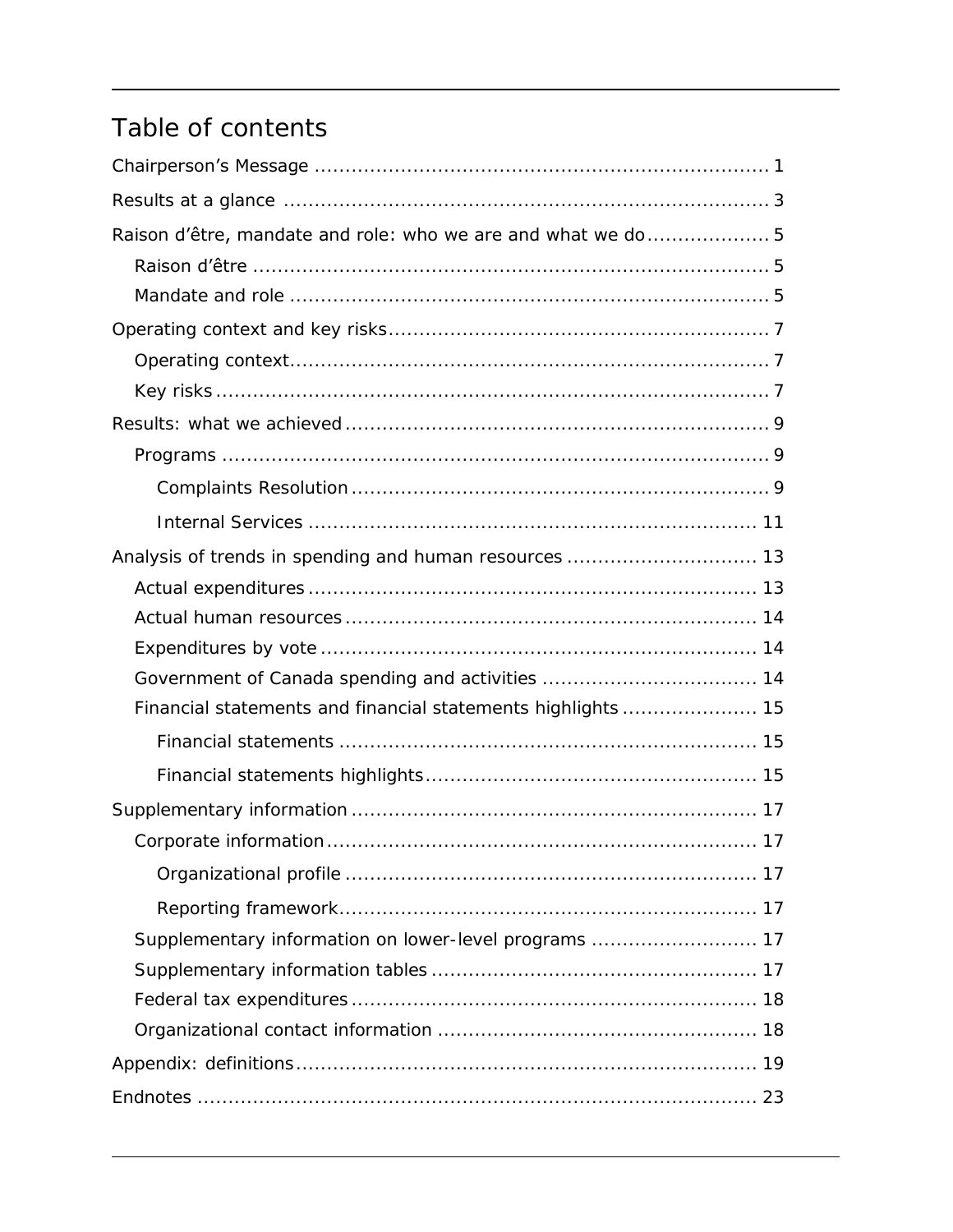## Table of contents

| Financial statements and financial statements highlights 15 |
|-------------------------------------------------------------|
|                                                             |
|                                                             |
|                                                             |
|                                                             |
|                                                             |
|                                                             |
| Supplementary information on lower-level programs  17       |
|                                                             |
|                                                             |
|                                                             |
|                                                             |
|                                                             |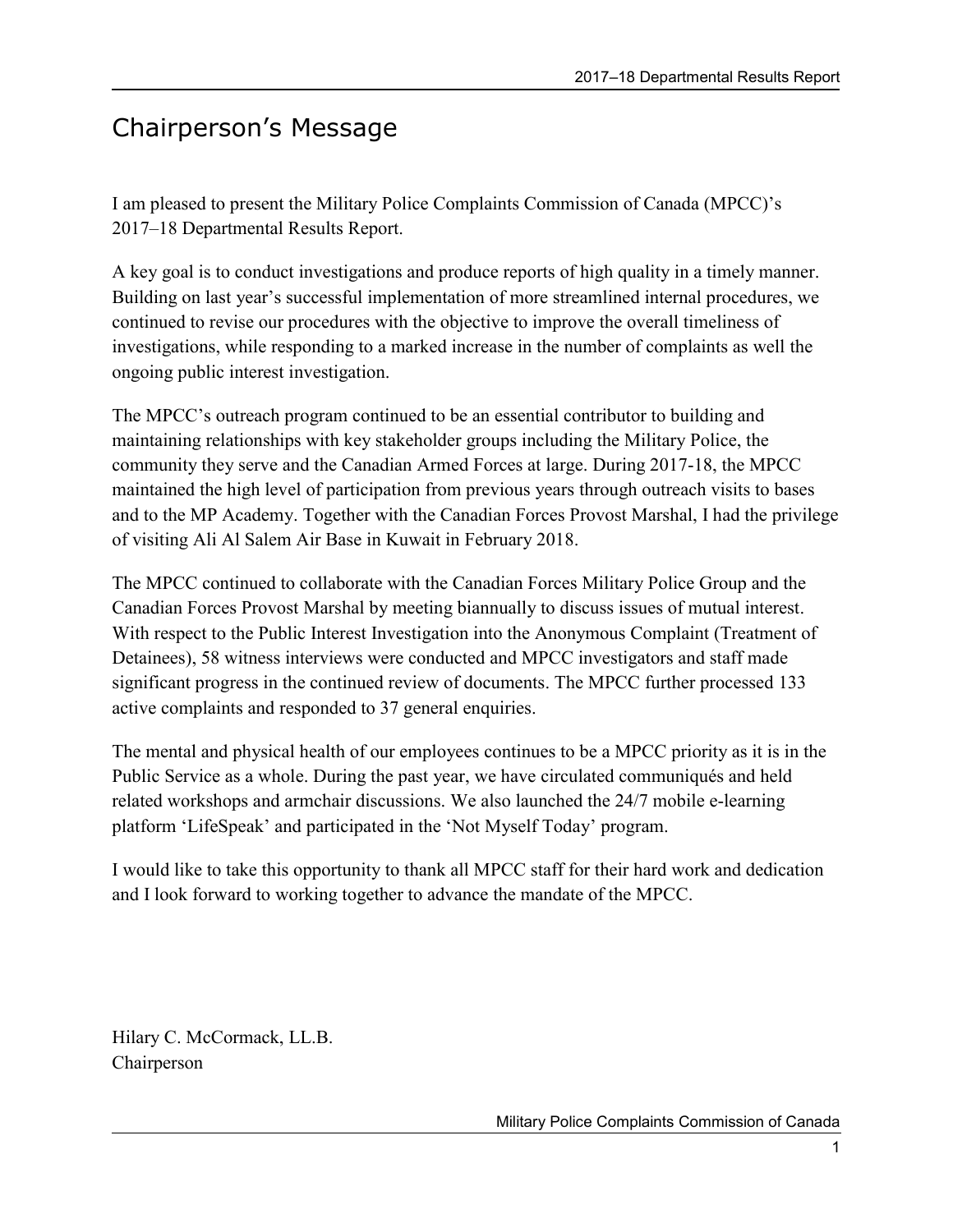## Chairperson's Message

I am pleased to present the Military Police Complaints Commission of Canada (MPCC)'s 2017–18 Departmental Results Report.

A key goal is to conduct investigations and produce reports of high quality in a timely manner. Building on last year's successful implementation of more streamlined internal procedures, we continued to revise our procedures with the objective to improve the overall timeliness of investigations, while responding to a marked increase in the number of complaints as well the ongoing public interest investigation.

The MPCC's outreach program continued to be an essential contributor to building and maintaining relationships with key stakeholder groups including the Military Police, the community they serve and the Canadian Armed Forces at large. During 2017-18, the MPCC maintained the high level of participation from previous years through outreach visits to bases and to the MP Academy. Together with the Canadian Forces Provost Marshal, I had the privilege of visiting Ali Al Salem Air Base in Kuwait in February 2018.

The MPCC continued to collaborate with the Canadian Forces Military Police Group and the Canadian Forces Provost Marshal by meeting biannually to discuss issues of mutual interest. With respect to the Public Interest Investigation into the Anonymous Complaint (Treatment of Detainees), 58 witness interviews were conducted and MPCC investigators and staff made significant progress in the continued review of documents. The MPCC further processed 133 active complaints and responded to 37 general enquiries.

The mental and physical health of our employees continues to be a MPCC priority as it is in the Public Service as a whole. During the past year, we have circulated communiqués and held related workshops and armchair discussions. We also launched the 24/7 mobile e-learning platform 'LifeSpeak' and participated in the 'Not Myself Today' program.

I would like to take this opportunity to thank all MPCC staff for their hard work and dedication and I look forward to working together to advance the mandate of the MPCC.

Hilary C. McCormack, LL.B. Chairperson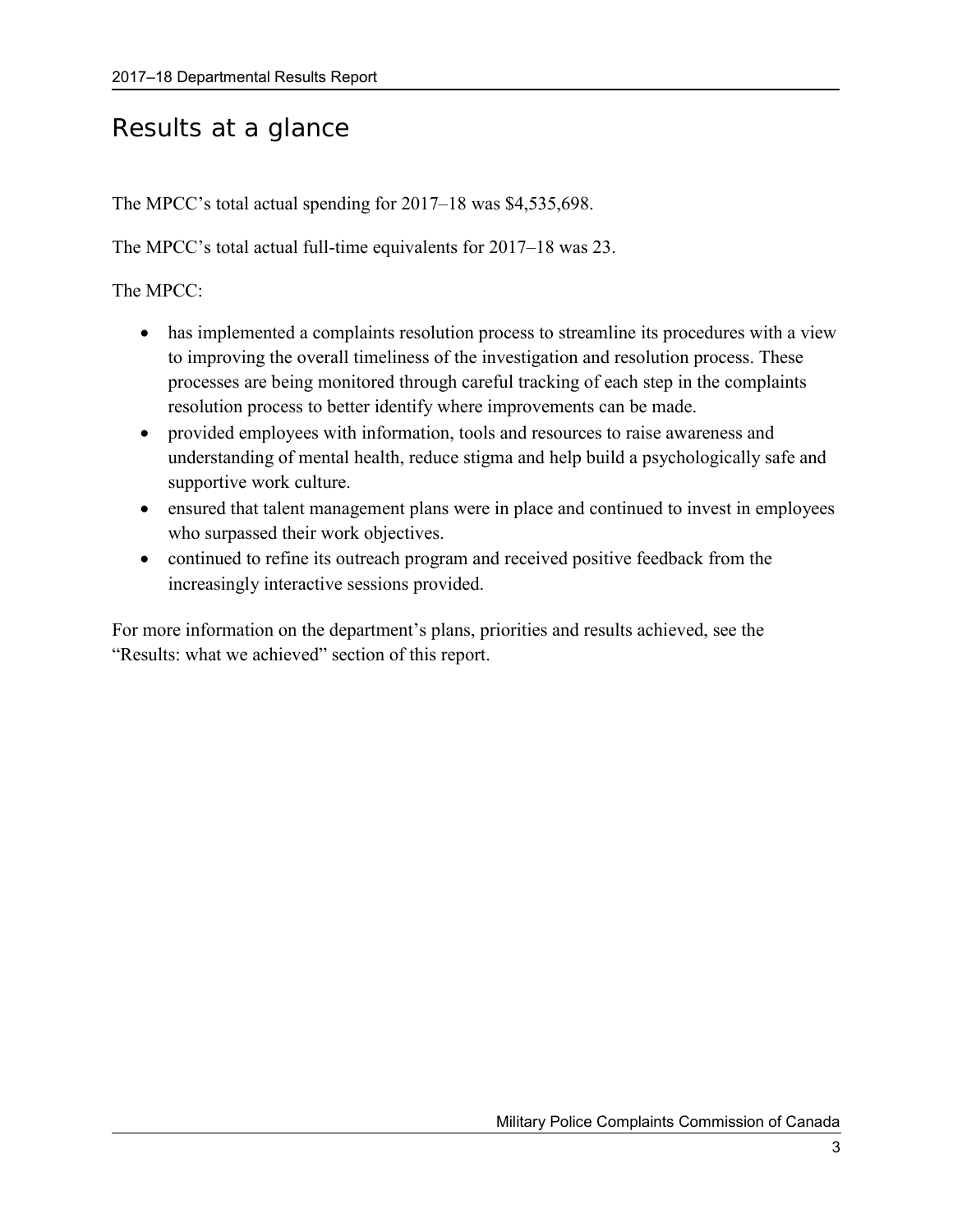## Results at a glance

The MPCC's total actual spending for 2017–18 was \$4,535,698.

The MPCC's total actual full-time equivalents for 2017–18 was 23.

The MPCC:

- has implemented a complaints resolution process to streamline its procedures with a view to improving the overall timeliness of the investigation and resolution process. These processes are being monitored through careful tracking of each step in the complaints resolution process to better identify where improvements can be made.
- provided employees with information, tools and resources to raise awareness and understanding of mental health, reduce stigma and help build a psychologically safe and supportive work culture.
- ensured that talent management plans were in place and continued to invest in employees who surpassed their work objectives.
- continued to refine its outreach program and received positive feedback from the increasingly interactive sessions provided.

For more information on the department's plans, priorities and results achieved, see the "Results: what we achieved" section of this report.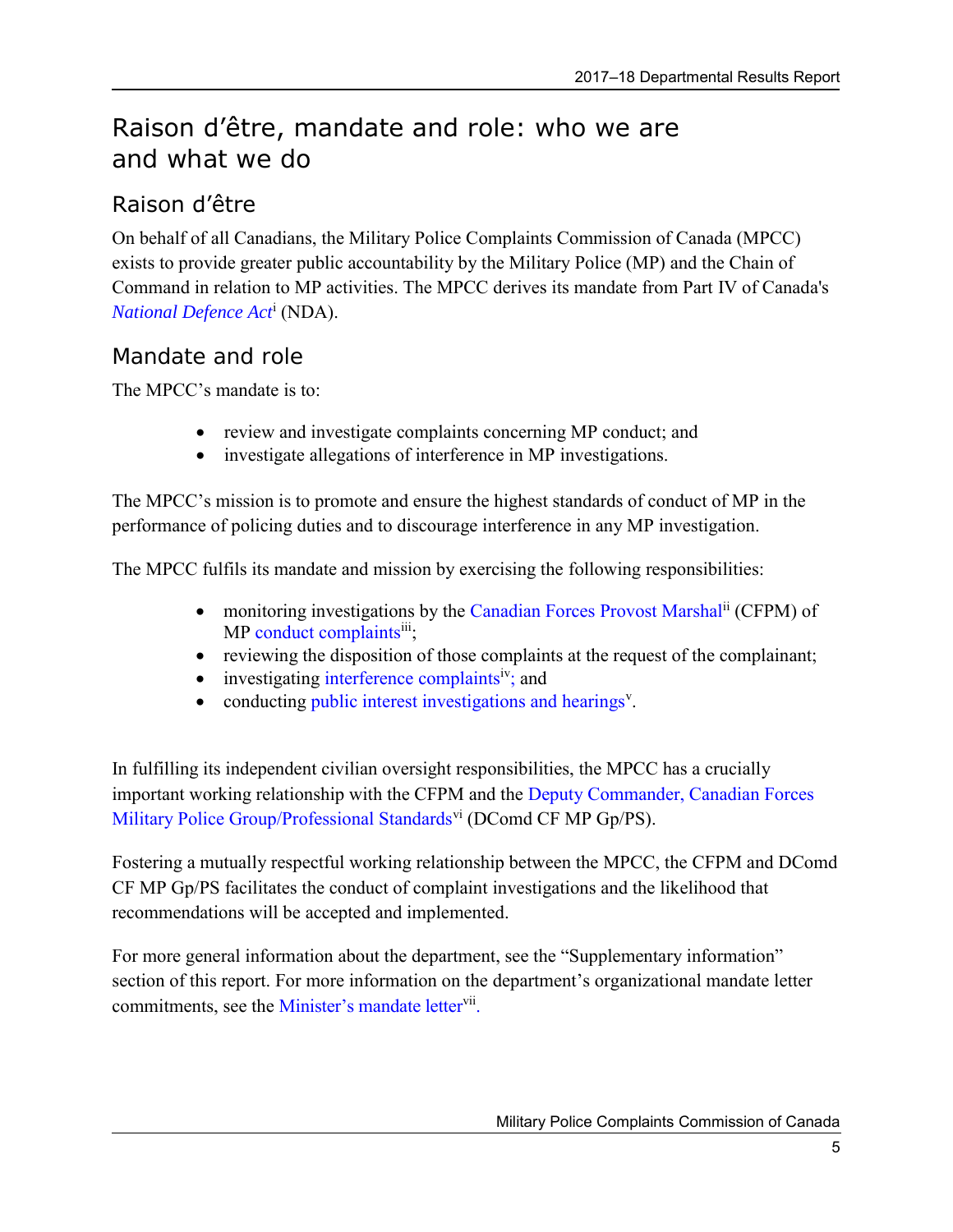## <span id="page-8-0"></span>Raison d'être, mandate and role: who we are and what we do

## <span id="page-8-1"></span>Raison d'être

On behalf of all Canadians, the Military Police Complaints Commission of Canada (MPCC) exists to provide greater public accountability by the Military Police (MP) and the Chain of Command in relation to MP activities. The MPCC derives its mandate from Part IV of Canada's *[National Defence Act](http://laws-lois.justice.gc.ca/eng/acts/N-5/)*<sup>i</sup> (NDA).

## <span id="page-8-2"></span>Mandate and role

The MPCC's mandate is to:

- review and investigate complaints concerning MP conduct; and
- investigate allegations of interference in MP investigations.

The MPCC's mission is to promote and ensure the highest standards of conduct of MP in the performance of policing duties and to discourage interference in any MP investigation.

The MPCC fulfils its mandate and mission by exercising the following responsibilities:

- monitoring investigations by the [Canadian Forces Provost Marshal](http://www.forces.gc.ca/en/caf-community-support-services-military-police/index.page)<sup>ii</sup> (CFPM) of MP [conduct complaints](http://www.mpcc-cppm.gc.ca/01/200/210-eng.aspx)<sup>iii</sup>;
- reviewing the disposition of those complaints at the request of the complainant;
- $\bullet$  investigating [interference complaints](http://www.mpcc-cppm.gc.ca/01/200/220-eng.aspx)<sup>iv</sup>; and
- conducting [public interest investigations and hearings](http://www.mpcc-cppm.gc.ca/01/200/230-eng.aspx)<sup>v</sup>.

In fulfilling its independent civilian oversight responsibilities, the MPCC has a crucially important working relationship with the CFPM and the [Deputy Commander, Canadian Forces](http://www.forces.gc.ca/en/caf-community-support-services-military-police/index.page)  [Military Police Group/Professional Standards](http://www.forces.gc.ca/en/caf-community-support-services-military-police/index.page)<sup>vi</sup> (DComd CF MP Gp/PS).

Fostering a mutually respectful working relationship between the MPCC, the CFPM and DComd CF MP Gp/PS facilitates the conduct of complaint investigations and the likelihood that recommendations will be accepted and implemented.

For more general information about the department, see the "Supplementary information" section of this report. For more information on the department's organizational mandate letter commitments, see the [Minister's mandate letter](http://pm.gc.ca/eng/mandate-letters)<sup>vii</sup>.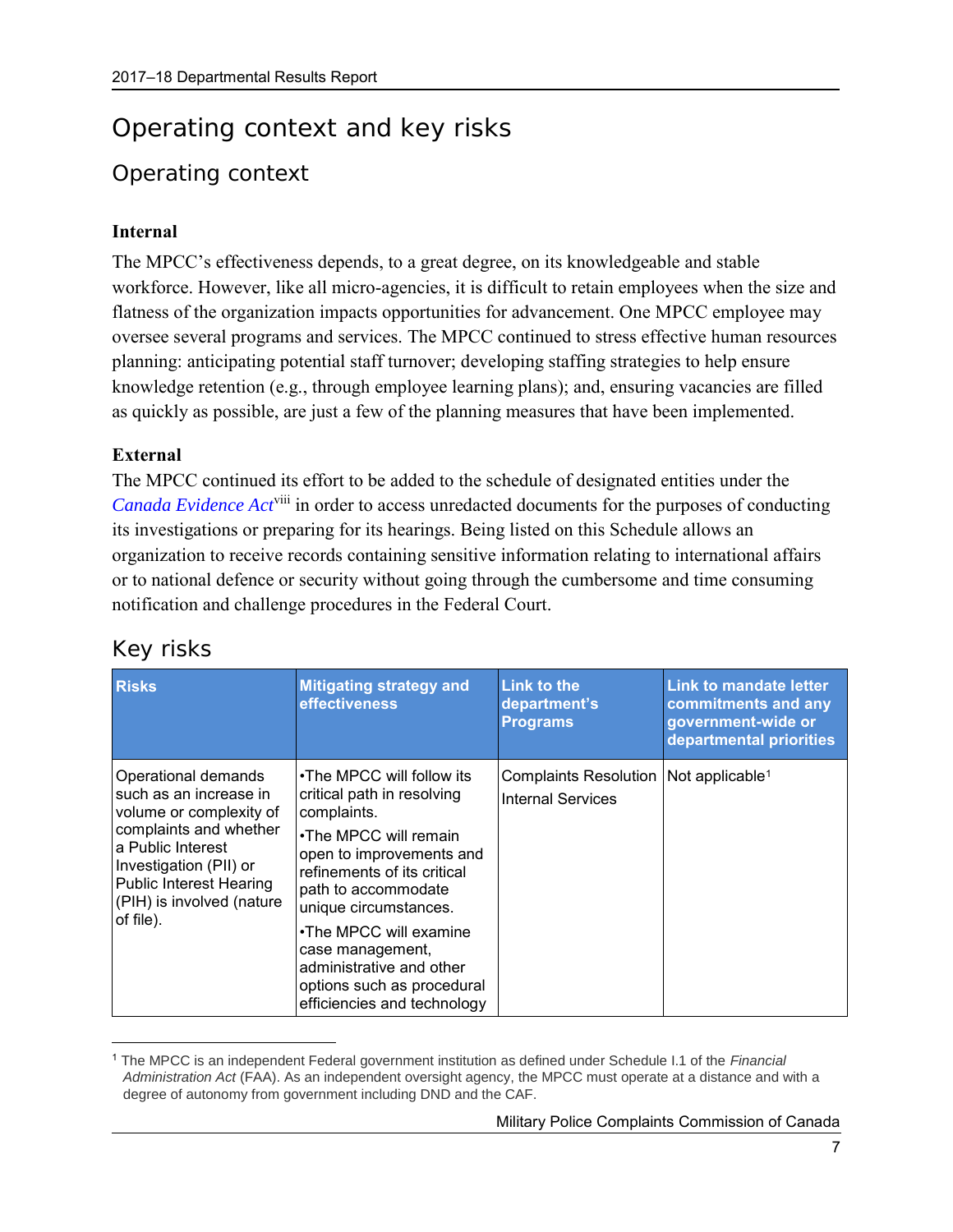## <span id="page-10-0"></span>Operating context and key risks

## <span id="page-10-1"></span>Operating context

### **Internal**

The MPCC's effectiveness depends, to a great degree, on its knowledgeable and stable workforce. However, like all micro-agencies, it is difficult to retain employees when the size and flatness of the organization impacts opportunities for advancement. One MPCC employee may oversee several programs and services. The MPCC continued to stress effective human resources planning: anticipating potential staff turnover; developing staffing strategies to help ensure knowledge retention (e.g., through employee learning plans); and, ensuring vacancies are filled as quickly as possible, are just a few of the planning measures that have been implemented.

#### **External**

The MPCC continued its effort to be added to the schedule of designated entities under the *[Canada Evidence Act](http://laws-lois.justice.gc.ca/eng/acts/C-5/)*viii in order to access unredacted documents for the purposes of conducting its investigations or preparing for its hearings. Being listed on this Schedule allows an organization to receive records containing sensitive information relating to international affairs or to national defence or security without going through the cumbersome and time consuming notification and challenge procedures in the Federal Court.

| <b>Risks</b>                                                                                                                                                                                                                  | <b>Mitigating strategy and</b><br><b>effectiveness</b>                                                                                                                                                                                                                                                                                            | <b>Link to the</b><br>department's<br><b>Programs</b>                           | <b>Link to mandate letter</b><br>commitments and any<br>government-wide or<br>departmental priorities |
|-------------------------------------------------------------------------------------------------------------------------------------------------------------------------------------------------------------------------------|---------------------------------------------------------------------------------------------------------------------------------------------------------------------------------------------------------------------------------------------------------------------------------------------------------------------------------------------------|---------------------------------------------------------------------------------|-------------------------------------------------------------------------------------------------------|
| Operational demands<br>such as an increase in<br>volume or complexity of<br>complaints and whether<br>a Public Interest<br>Investigation (PII) or<br><b>Public Interest Hearing</b><br>(PIH) is involved (nature<br>of file). | •The MPCC will follow its<br>critical path in resolving<br>complaints.<br>•The MPCC will remain<br>open to improvements and<br>refinements of its critical<br>path to accommodate<br>unique circumstances.<br>•The MPCC will examine<br>case management,<br>administrative and other<br>options such as procedural<br>efficiencies and technology | Complaints Resolution   Not applicable <sup>1</sup><br><b>Internal Services</b> |                                                                                                       |

## <span id="page-10-2"></span>Key risks

 $\overline{a}$ 

<sup>1</sup> The MPCC is an independent Federal government institution as defined under Schedule I.1 of the *Financial Administration Act* (FAA). As an independent oversight agency, the MPCC must operate at a distance and with a degree of autonomy from government including DND and the CAF.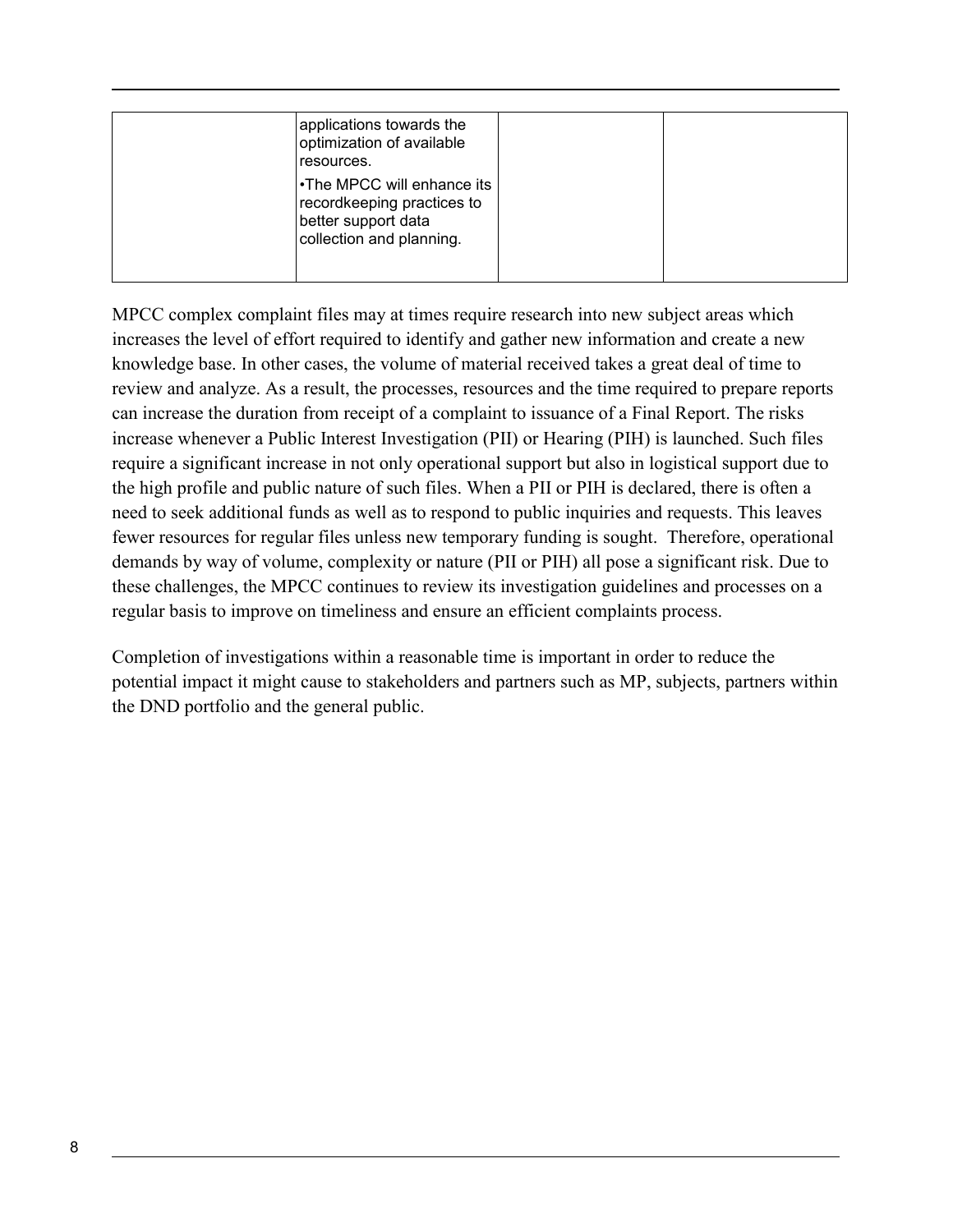| applications towards the<br>optimization of available<br>resources.                                         |  |
|-------------------------------------------------------------------------------------------------------------|--|
| •The MPCC will enhance its<br>recordkeeping practices to<br>better support data<br>collection and planning. |  |

MPCC complex complaint files may at times require research into new subject areas which increases the level of effort required to identify and gather new information and create a new knowledge base. In other cases, the volume of material received takes a great deal of time to review and analyze. As a result, the processes, resources and the time required to prepare reports can increase the duration from receipt of a complaint to issuance of a Final Report. The risks increase whenever a Public Interest Investigation (PII) or Hearing (PIH) is launched. Such files require a significant increase in not only operational support but also in logistical support due to the high profile and public nature of such files. When a PII or PIH is declared, there is often a need to seek additional funds as well as to respond to public inquiries and requests. This leaves fewer resources for regular files unless new temporary funding is sought. Therefore, operational demands by way of volume, complexity or nature (PII or PIH) all pose a significant risk. Due to these challenges, the MPCC continues to review its investigation guidelines and processes on a regular basis to improve on timeliness and ensure an efficient complaints process.

Completion of investigations within a reasonable time is important in order to reduce the potential impact it might cause to stakeholders and partners such as MP, subjects, partners within the DND portfolio and the general public.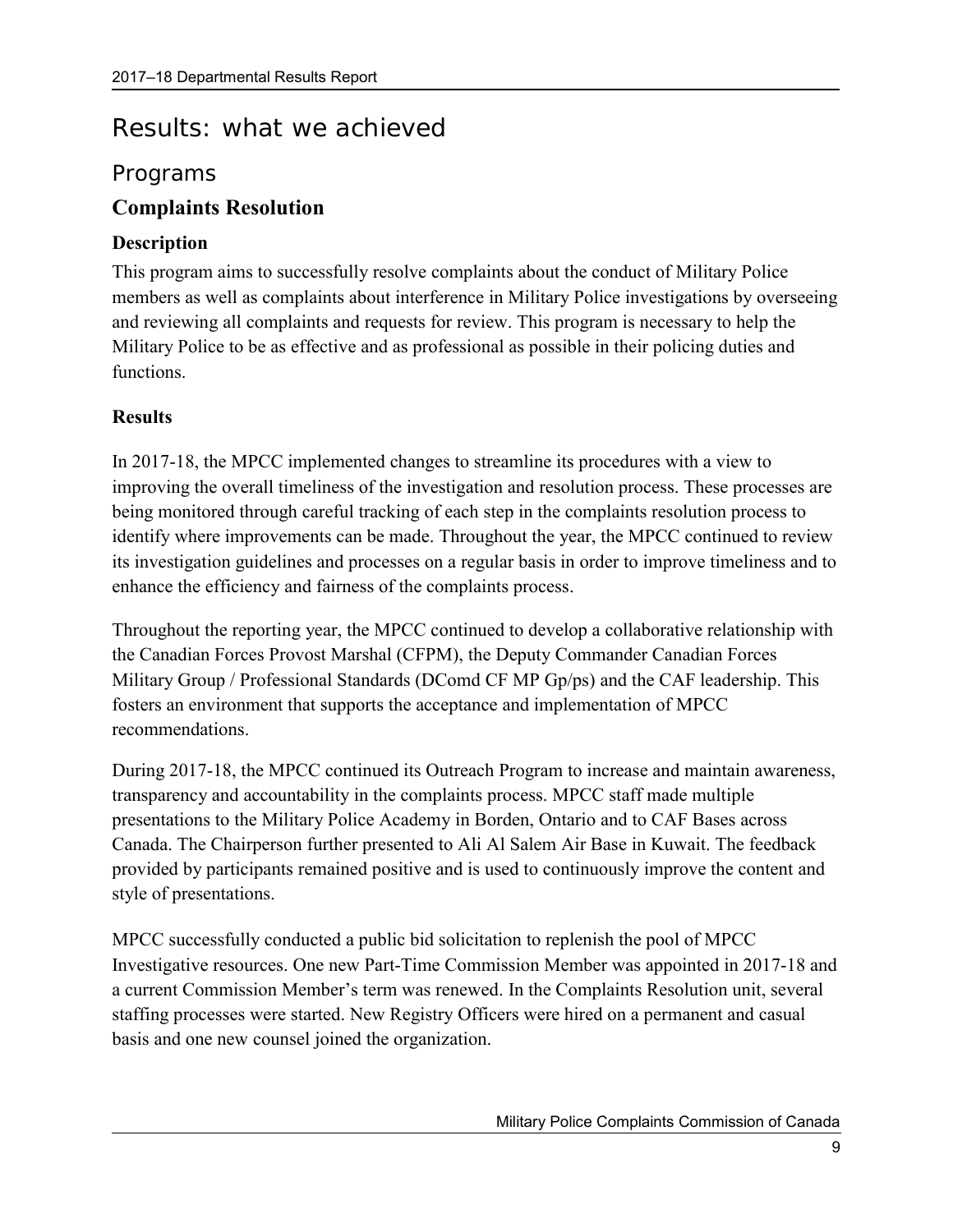## <span id="page-12-0"></span>Results: what we achieved

## <span id="page-12-1"></span>Programs

## **Complaints Resolution**

### **Description**

This program aims to successfully resolve complaints about the conduct of Military Police members as well as complaints about interference in Military Police investigations by overseeing and reviewing all complaints and requests for review. This program is necessary to help the Military Police to be as effective and as professional as possible in their policing duties and functions.

## **Results**

In 2017-18, the MPCC implemented changes to streamline its procedures with a view to improving the overall timeliness of the investigation and resolution process. These processes are being monitored through careful tracking of each step in the complaints resolution process to identify where improvements can be made. Throughout the year, the MPCC continued to review its investigation guidelines and processes on a regular basis in order to improve timeliness and to enhance the efficiency and fairness of the complaints process.

Throughout the reporting year, the MPCC continued to develop a collaborative relationship with the Canadian Forces Provost Marshal (CFPM), the Deputy Commander Canadian Forces Military Group / Professional Standards (DComd CF MP Gp/ps) and the CAF leadership. This fosters an environment that supports the acceptance and implementation of MPCC recommendations.

During 2017-18, the MPCC continued its Outreach Program to increase and maintain awareness, transparency and accountability in the complaints process. MPCC staff made multiple presentations to the Military Police Academy in Borden, Ontario and to CAF Bases across Canada. The Chairperson further presented to Ali Al Salem Air Base in Kuwait. The feedback provided by participants remained positive and is used to continuously improve the content and style of presentations.

MPCC successfully conducted a public bid solicitation to replenish the pool of MPCC Investigative resources. One new Part-Time Commission Member was appointed in 2017-18 and a current Commission Member's term was renewed. In the Complaints Resolution unit, several staffing processes were started. New Registry Officers were hired on a permanent and casual basis and one new counsel joined the organization.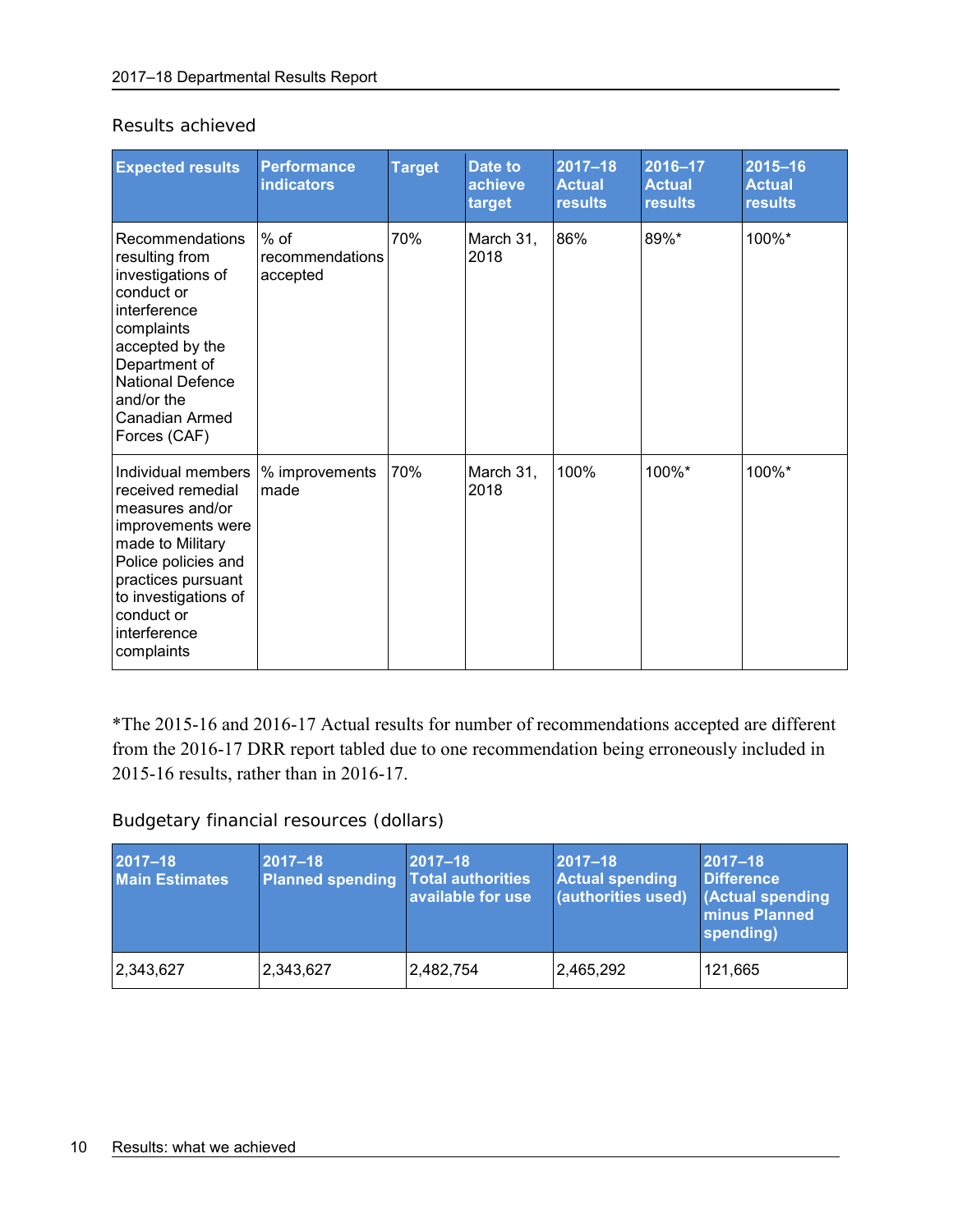| <b>Expected results</b>                                                                                                                                                                                                | <b>Performance</b><br><b>indicators</b> | <b>Target</b> | Date to<br>achieve<br>target | $2017 - 18$<br><b>Actual</b><br><b>results</b> | $2016 - 17$<br><b>Actual</b><br><b>results</b> | $2015 - 16$<br><b>Actual</b><br><b>results</b> |
|------------------------------------------------------------------------------------------------------------------------------------------------------------------------------------------------------------------------|-----------------------------------------|---------------|------------------------------|------------------------------------------------|------------------------------------------------|------------------------------------------------|
| Recommendations<br>resulting from<br>investigations of<br>conduct or<br>interference<br>complaints<br>accepted by the<br>Department of<br><b>National Defence</b><br>and/or the<br>Canadian Armed<br>Forces (CAF)      | % of<br>recommendations<br>accepted     | 70%           | March 31,<br>2018            | 86%                                            | 89%*                                           | 100%*                                          |
| Individual members I<br>received remedial<br>measures and/or<br>improvements were<br>made to Military<br>Police policies and<br>practices pursuant<br>to investigations of<br>conduct or<br>interference<br>complaints | % improvements<br>made                  | 70%           | March 31,<br>2018            | 100%                                           | 100%*                                          | 100%*                                          |

Results achieved

\*The 2015-16 and 2016-17 Actual results for number of recommendations accepted are different from the 2016-17 DRR report tabled due to one recommendation being erroneously included in 2015-16 results, rather than in 2016-17.

Budgetary financial resources (dollars)

| $2017 - 18$<br><b>Main Estimates</b> | $2017 - 18$<br><b>Planned spending</b> | $2017 - 18$<br><b>Total authorities</b><br>available for use | 2017-18<br><b>Actual spending</b><br>(authorities used) | $2017 - 18$<br><b>Difference</b><br><b>Actual spending</b><br><b>minus Planned</b><br>spending) |
|--------------------------------------|----------------------------------------|--------------------------------------------------------------|---------------------------------------------------------|-------------------------------------------------------------------------------------------------|
| 2,343,627                            | 2,343,627                              | 2,482,754                                                    | 2,465,292                                               | 121,665                                                                                         |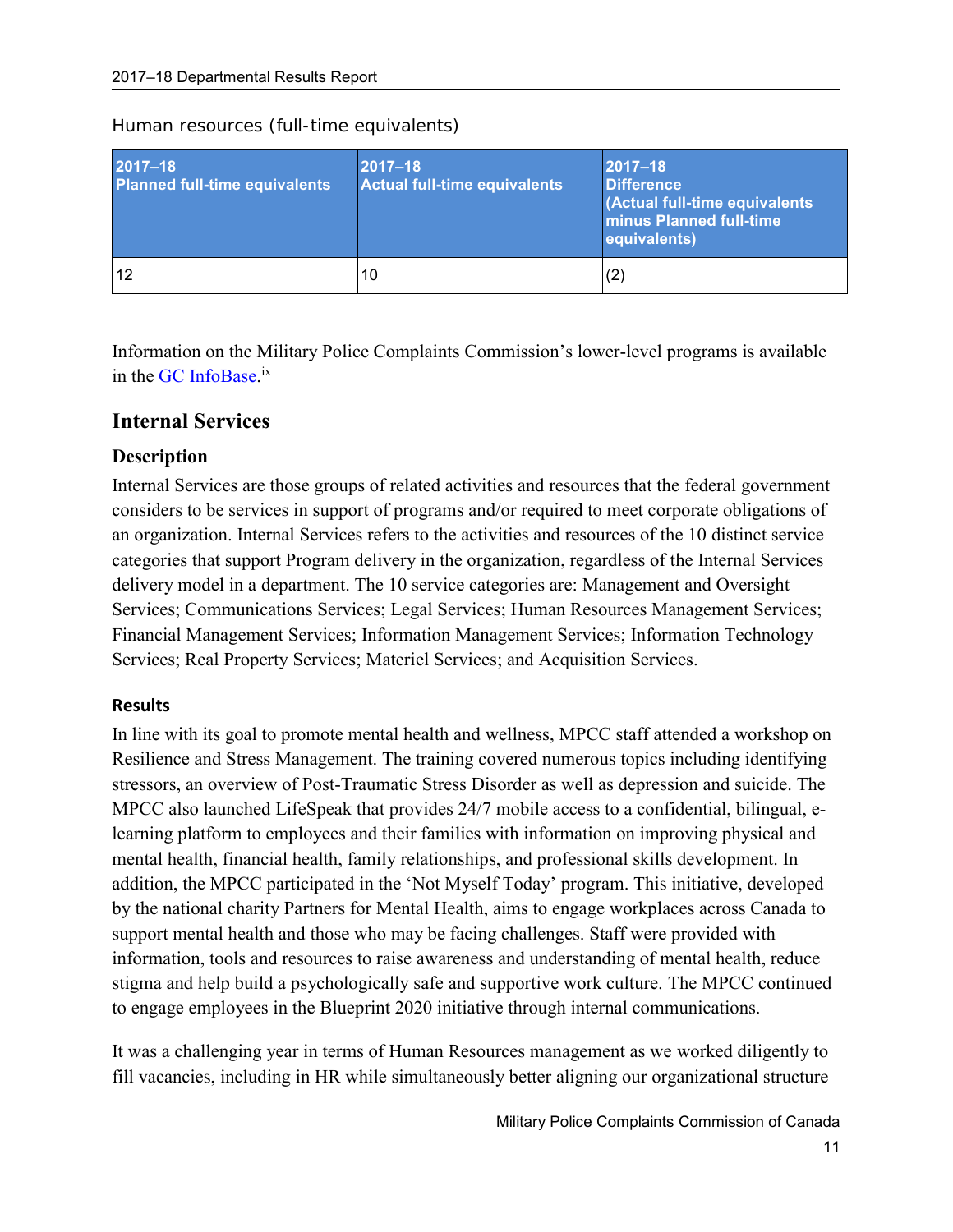| $2017 - 18$<br><b>Planned full-time equivalents</b> | $ 2017 - 18 $<br>Actual full-time equivalents | $ 2017 - 18 $<br><b>Difference</b><br>(Actual full-time equivalents<br><b>Iminus Planned full-time</b><br>equivalents) |
|-----------------------------------------------------|-----------------------------------------------|------------------------------------------------------------------------------------------------------------------------|
| 12                                                  | 10                                            | (2)                                                                                                                    |

Human resources (full-time equivalents)

<span id="page-14-1"></span>Information on the Military Police Complaints Commission's lower-level programs is available in the [GC InfoBase.](https://www.tbs-sct.gc.ca/ems-sgd/edb-bdd/index-eng.html)<sup>ix</sup>

### <span id="page-14-0"></span>**Internal Services**

#### **Description**

Internal Services are those groups of related activities and resources that the federal government considers to be services in support of programs and/or required to meet corporate obligations of an organization. Internal Services refers to the activities and resources of the 10 distinct service categories that support Program delivery in the organization, regardless of the Internal Services delivery model in a department. The 10 service categories are: Management and Oversight Services; Communications Services; Legal Services; Human Resources Management Services; Financial Management Services; Information Management Services; Information Technology Services; Real Property Services; Materiel Services; and Acquisition Services.

#### **Results**

In line with its goal to promote mental health and wellness, MPCC staff attended a workshop on Resilience and Stress Management. The training covered numerous topics including identifying stressors, an overview of Post-Traumatic Stress Disorder as well as depression and suicide. The MPCC also launched LifeSpeak that provides 24/7 mobile access to a confidential, bilingual, elearning platform to employees and their families with information on improving physical and mental health, financial health, family relationships, and professional skills development. In addition, the MPCC participated in the 'Not Myself Today' program. This initiative, developed by the national charity Partners for Mental Health, aims to engage workplaces across Canada to support mental health and those who may be facing challenges. Staff were provided with information, tools and resources to raise awareness and understanding of mental health, reduce stigma and help build a psychologically safe and supportive work culture. The MPCC continued to engage employees in the Blueprint 2020 initiative through internal communications.

It was a challenging year in terms of Human Resources management as we worked diligently to fill vacancies, including in HR while simultaneously better aligning our organizational structure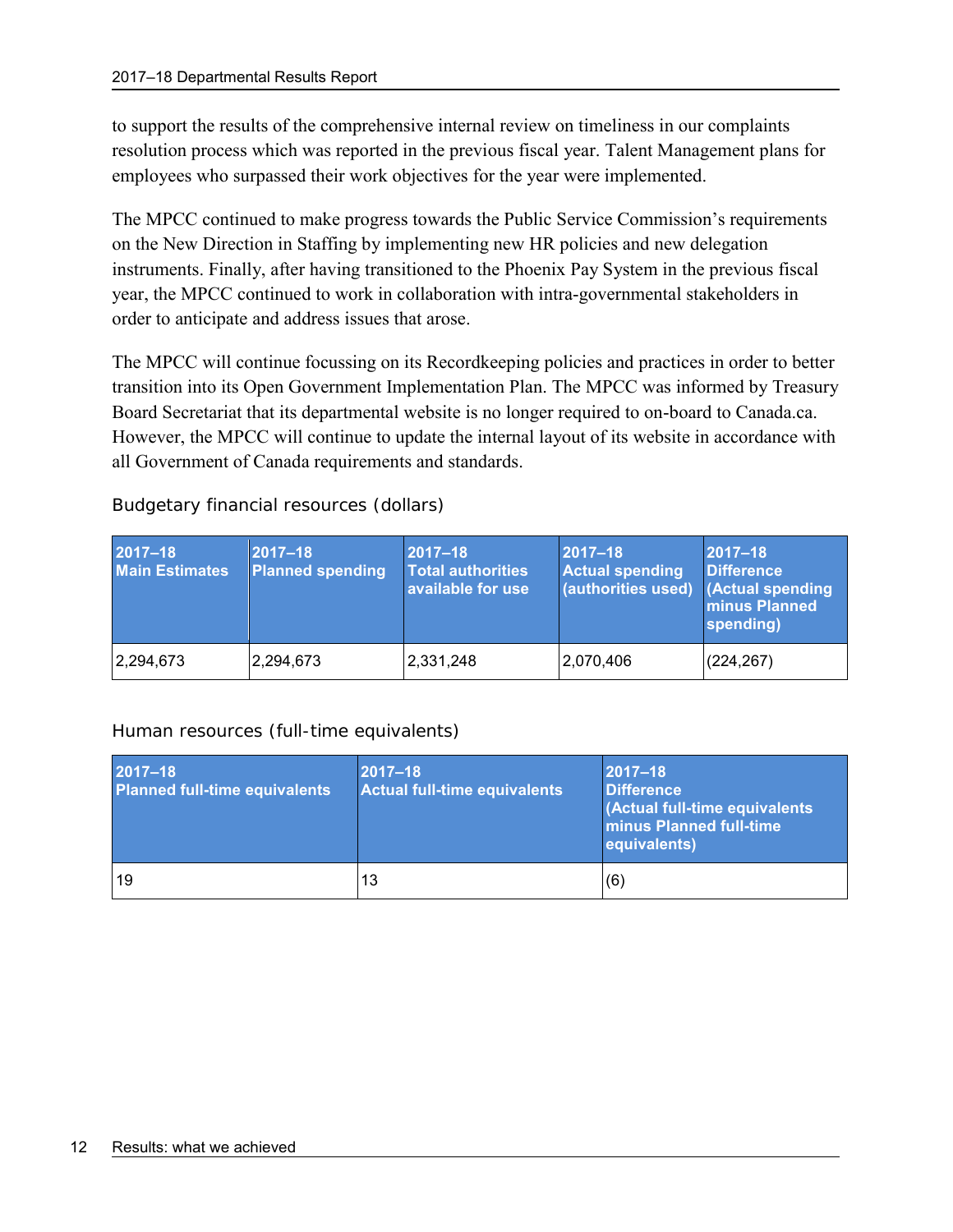to support the results of the comprehensive internal review on timeliness in our complaints resolution process which was reported in the previous fiscal year. Talent Management plans for employees who surpassed their work objectives for the year were implemented.

The MPCC continued to make progress towards the Public Service Commission's requirements on the New Direction in Staffing by implementing new HR policies and new delegation instruments. Finally, after having transitioned to the Phoenix Pay System in the previous fiscal year, the MPCC continued to work in collaboration with intra-governmental stakeholders in order to anticipate and address issues that arose.

The MPCC will continue focussing on its Recordkeeping policies and practices in order to better transition into its Open Government Implementation Plan. The MPCC was informed by Treasury Board Secretariat that its departmental website is no longer required to on-board to Canada.ca. However, the MPCC will continue to update the internal layout of its website in accordance with all Government of Canada requirements and standards.

| 2017-18<br><b>Main Estimates</b> | $ 2017 - 18 $<br><b>Planned spending</b> | $2017 - 18$<br><b>Total authorities</b><br>available for use | $ 2017 - 18 $<br><b>Actual spending</b><br>$\overline{a}$ (authorities used) (Actual spending | $2017 - 18$<br><b>Difference</b><br>minus Planned<br>spending) |
|----------------------------------|------------------------------------------|--------------------------------------------------------------|-----------------------------------------------------------------------------------------------|----------------------------------------------------------------|
| 2,294,673                        | 2,294,673                                | 2,331,248                                                    | 2,070,406                                                                                     | (224, 267)                                                     |

Budgetary financial resources (dollars)

#### Human resources (full-time equivalents)

| 2017-18<br><b>Planned full-time equivalents</b> | $ 2017 - 18 $<br><b>Actual full-time equivalents</b> | $ 2017 - 18 $<br><b>Difference</b><br>(Actual full-time equivalents<br><b>minus Planned full-time</b><br>equivalents) |
|-------------------------------------------------|------------------------------------------------------|-----------------------------------------------------------------------------------------------------------------------|
| 19                                              | 13                                                   | (6)                                                                                                                   |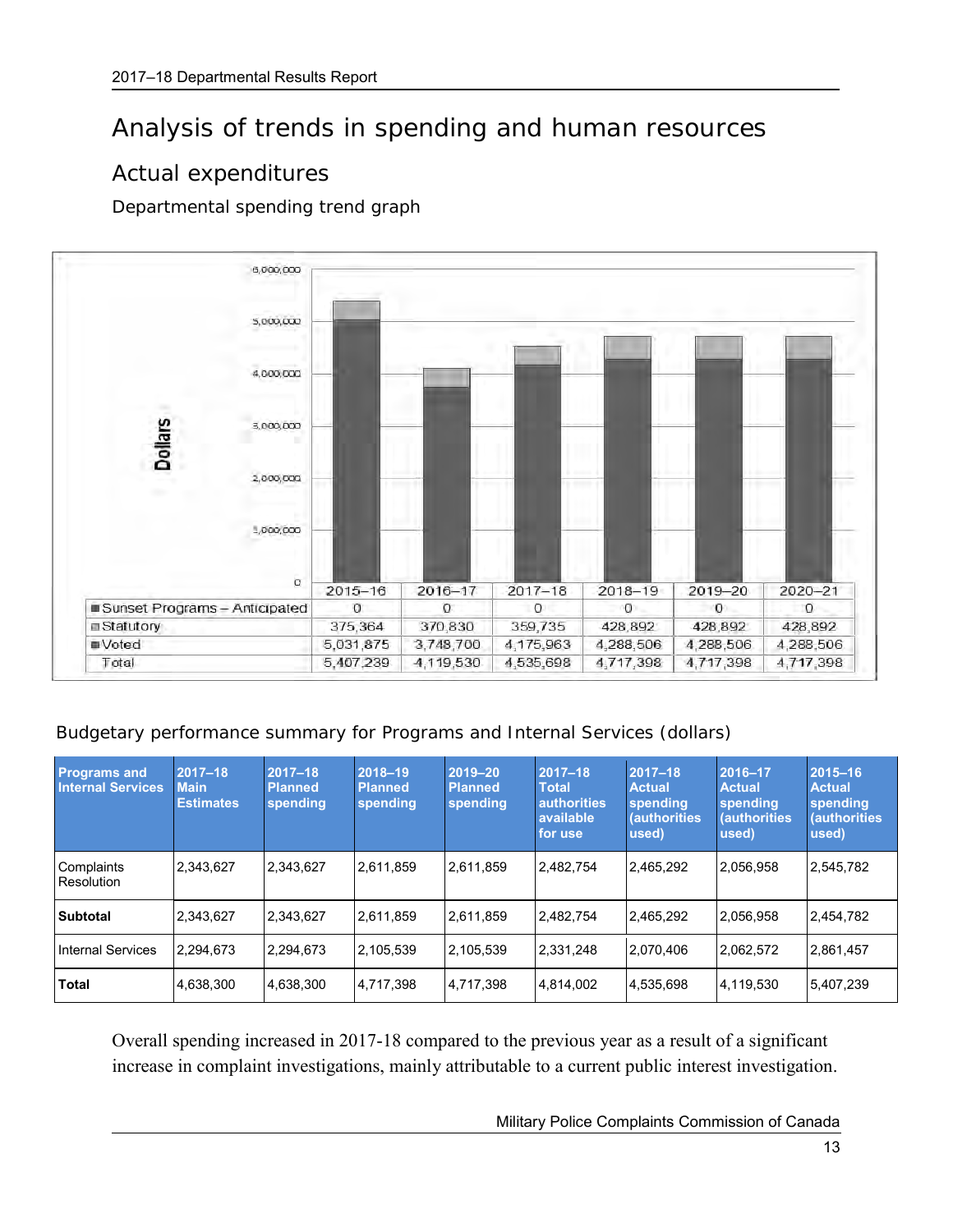## <span id="page-16-0"></span>Analysis of trends in spending and human resources

## <span id="page-16-1"></span>Actual expenditures

Departmental spending trend graph



Budgetary performance summary for Programs and Internal Services (dollars)

| <b>Programs and</b><br><b>Internal Services</b> | $2017 - 18$<br><b>Main</b><br><b>Estimates</b> | $2017 - 18$<br><b>Planned</b><br>spending | 2018-19<br><b>Planned</b><br>spending | 2019-20<br><b>Planned</b><br>spending | $ 2017 - 18 $<br><b>Total</b><br><b>authorities</b><br>available<br>for use | $ 2017 - 18 $<br><b>Actual</b><br>spending<br><b>(authorities)</b><br>used) | 2016-17<br><b>Actual</b><br>spending<br><b>(authorities)</b><br>used) | $ 2015 - 16 $<br><b>Actual</b><br>spending<br><b>(authorities)</b><br>used) |
|-------------------------------------------------|------------------------------------------------|-------------------------------------------|---------------------------------------|---------------------------------------|-----------------------------------------------------------------------------|-----------------------------------------------------------------------------|-----------------------------------------------------------------------|-----------------------------------------------------------------------------|
| Complaints<br>Resolution                        | 2,343,627                                      | 2,343,627                                 | 2,611,859                             | 2,611,859                             | 2,482,754                                                                   | 2,465,292                                                                   | 2,056,958                                                             | 2,545,782                                                                   |
| <b>Subtotal</b>                                 | 2,343,627                                      | 2,343,627                                 | 2,611,859                             | 2,611,859                             | 2,482,754                                                                   | 2,465,292                                                                   | 2,056,958                                                             | 2,454,782                                                                   |
| <b>Internal Services</b>                        | 2.294.673                                      | 2,294,673                                 | 2,105,539                             | 2,105,539                             | 2,331,248                                                                   | 2,070,406                                                                   | 2,062,572                                                             | 2,861,457                                                                   |
| Total                                           | 4,638,300                                      | 4,638,300                                 | 4,717,398                             | 4,717,398                             | 4,814,002                                                                   | 4,535,698                                                                   | 4,119,530                                                             | 5,407,239                                                                   |

Overall spending increased in 2017-18 compared to the previous year as a result of a significant increase in complaint investigations, mainly attributable to a current public interest investigation.

Military Police Complaints Commission of Canada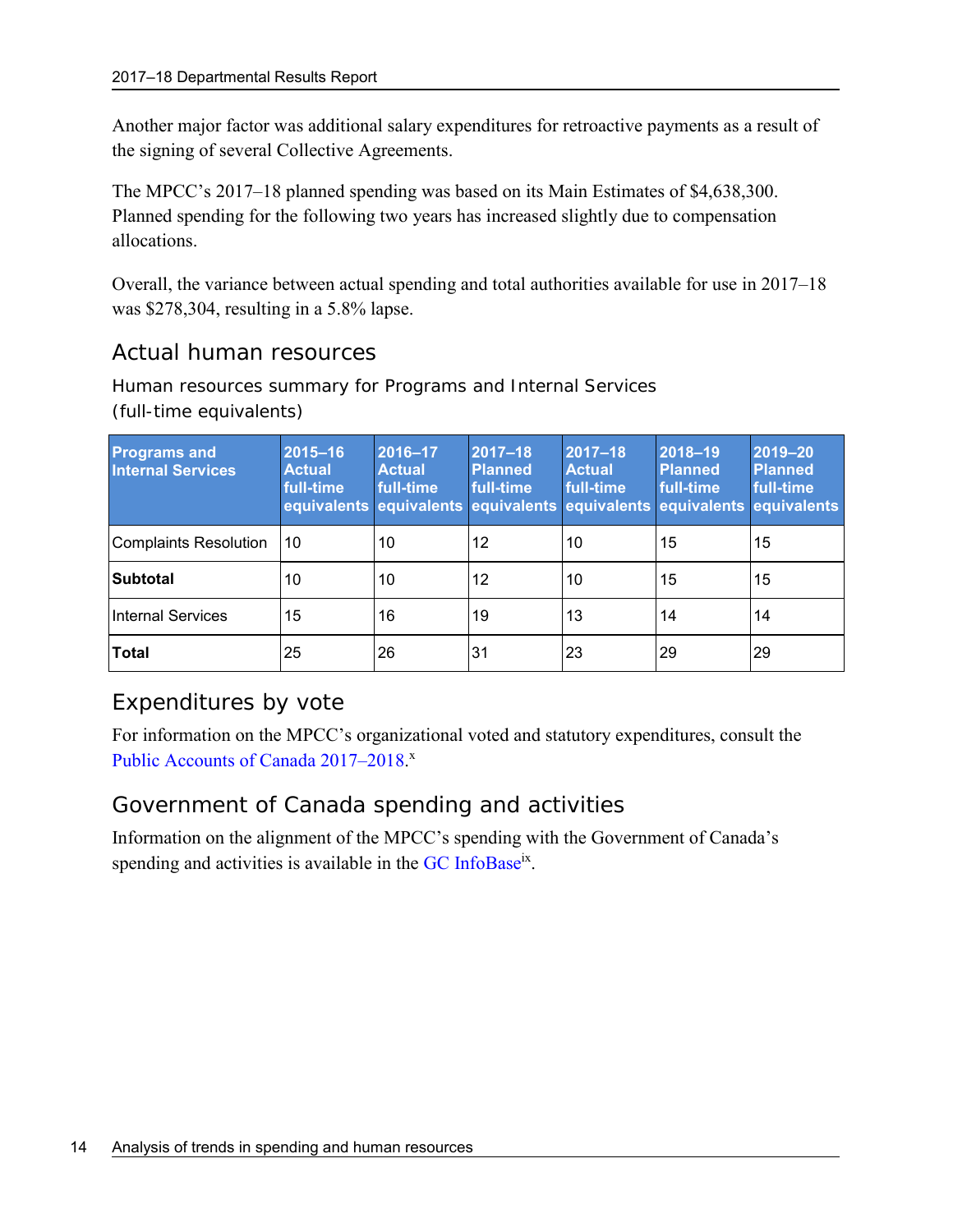Another major factor was additional salary expenditures for retroactive payments as a result of the signing of several Collective Agreements.

The MPCC's 2017–18 planned spending was based on its Main Estimates of \$4,638,300. Planned spending for the following two years has increased slightly due to compensation allocations.

Overall, the variance between actual spending and total authorities available for use in 2017–18 was \$278,304, resulting in a 5.8% lapse.

## <span id="page-17-0"></span>Actual human resources

Human resources summary for Programs and Internal Services (full-time equivalents)

| <b>Programs and</b><br><b>Internal Services</b> | 2015-16<br><b>Actual</b><br>full-time<br>equivalents equivalents equivalents equivalents equivalents equivalents | 2016-17<br><b>Actual</b><br>full-time | $ 2017 - 18 $<br><b>Planned</b><br>full-time | 2017-18<br><b>Actual</b><br>full-time | 2018-19<br><b>Planned</b><br>full-time | 2019-20<br><b>Planned</b><br>full-time |
|-------------------------------------------------|------------------------------------------------------------------------------------------------------------------|---------------------------------------|----------------------------------------------|---------------------------------------|----------------------------------------|----------------------------------------|
| Complaints Resolution                           | l 10                                                                                                             | 10                                    | 12                                           | 10                                    | 15                                     | 15                                     |
| <b>Subtotal</b>                                 | 10                                                                                                               | 10                                    | 12                                           | 10                                    | 15                                     | 15                                     |
| Internal Services                               | 15                                                                                                               | 16                                    | 19                                           | 13                                    | 14                                     | 14                                     |
| Total                                           | 25                                                                                                               | 26                                    | 31                                           | 23                                    | 29                                     | 29                                     |

## <span id="page-17-1"></span>Expenditures by vote

For information on the MPCC's organizational voted and statutory expenditures, consult the Public Accounts of Canada 2017-2018.

## Government of Canada spending and activities

Information on the alignment of the MPCC's spending with the Government of Canada's spending and activities is available in the [GC InfoBase](https://www.tbs-sct.gc.ca/ems-sgd/edb-bdd/index-eng.html)<sup>[ix](#page-14-1)</sup>.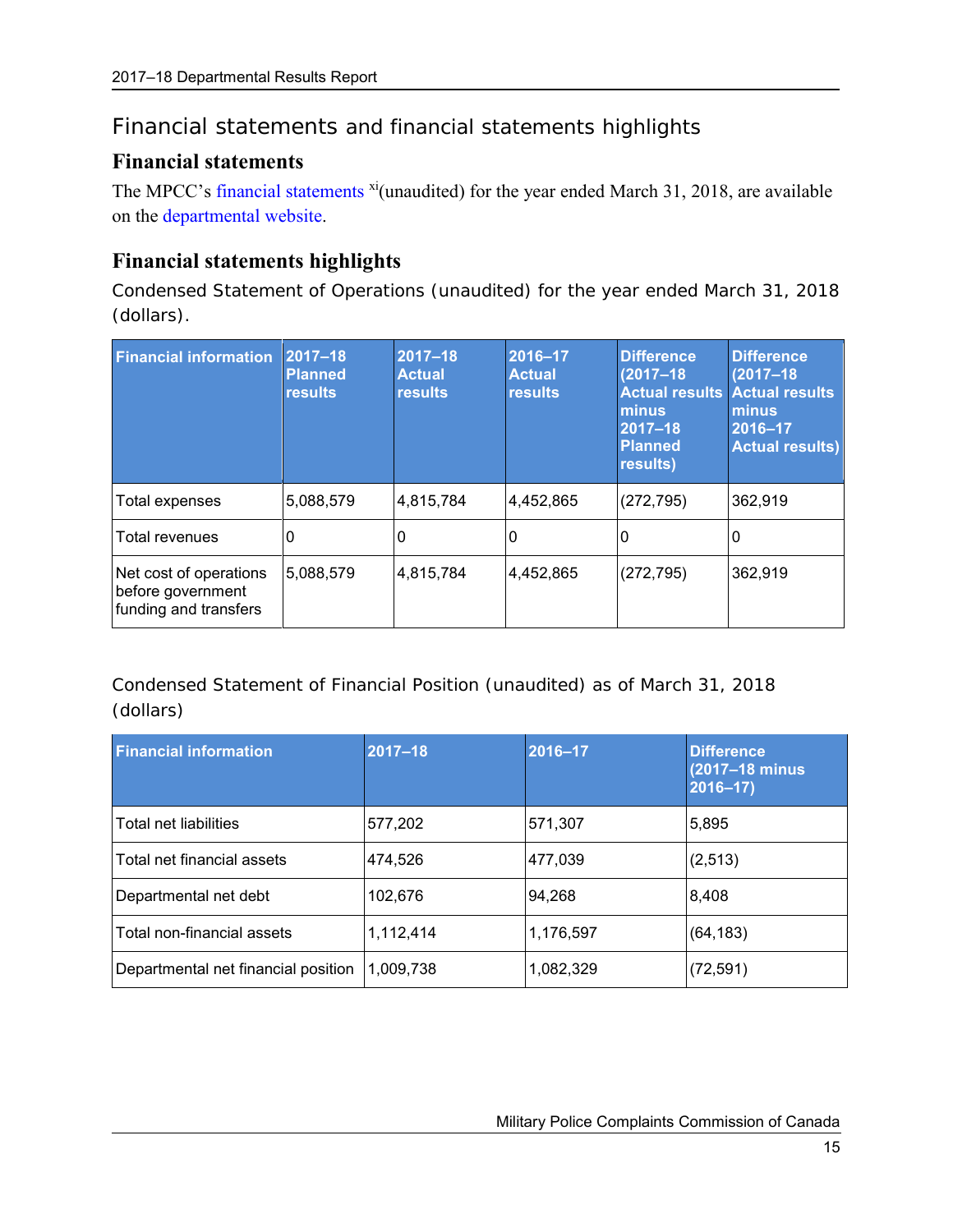## <span id="page-18-0"></span>Financial statements and financial statements highlights

### <span id="page-18-1"></span>**Financial statements**

The MPCC's [financial statements](http://www.mpcc-cppm.gc.ca/info/pubs/afs-efa/AfsEfa1617-eng.aspx) <sup>xi</sup>(unaudited) for the year ended March 31, 2018, are available on the departmental website.

### <span id="page-18-2"></span>**Financial statements highlights**

Condensed Statement of Operations (unaudited) for the year ended March 31, 2018 (dollars).

| <b>Financial information</b>                                         | $ 2017 - 18 $<br><b>Planned</b><br><b>results</b> | 2017-18<br><b>Actual</b><br>results | 2016-17<br><b>Actual</b><br><b>results</b> | <b>Difference</b><br>$(2017 - 18)$<br>minus<br>$2017 - 18$<br><b>Planned</b><br>results) | <b>Difference</b><br>$(2017 - 18)$<br><b>Actual results Actual results</b><br>minus<br>2016-17<br><b>Actual results)</b> |
|----------------------------------------------------------------------|---------------------------------------------------|-------------------------------------|--------------------------------------------|------------------------------------------------------------------------------------------|--------------------------------------------------------------------------------------------------------------------------|
| Total expenses                                                       | 5,088,579                                         | 4,815,784                           | 4,452,865                                  | (272, 795)                                                                               | 362,919                                                                                                                  |
| Total revenues                                                       | 0                                                 | 0                                   | 0                                          | 0                                                                                        |                                                                                                                          |
| Net cost of operations<br>before government<br>funding and transfers | 5,088,579                                         | 4,815,784                           | 4,452,865                                  | (272, 795)                                                                               | 362,919                                                                                                                  |

Condensed Statement of Financial Position (unaudited) as of March 31, 2018 (dollars)

| <b>Financial information</b>        | $2017 - 18$ | 2016-17   | <b>Difference</b><br>(2017-18 minus)<br>$2016 - 17$ |
|-------------------------------------|-------------|-----------|-----------------------------------------------------|
| Total net liabilities               | 577,202     | 571,307   | 5,895                                               |
| Total net financial assets          | 474,526     | 477,039   | (2, 513)                                            |
| Departmental net debt               | 102,676     | 94,268    | 8,408                                               |
| Total non-financial assets          | 1,112,414   | 1,176,597 | (64, 183)                                           |
| Departmental net financial position | 1,009,738   | 1,082,329 | (72, 591)                                           |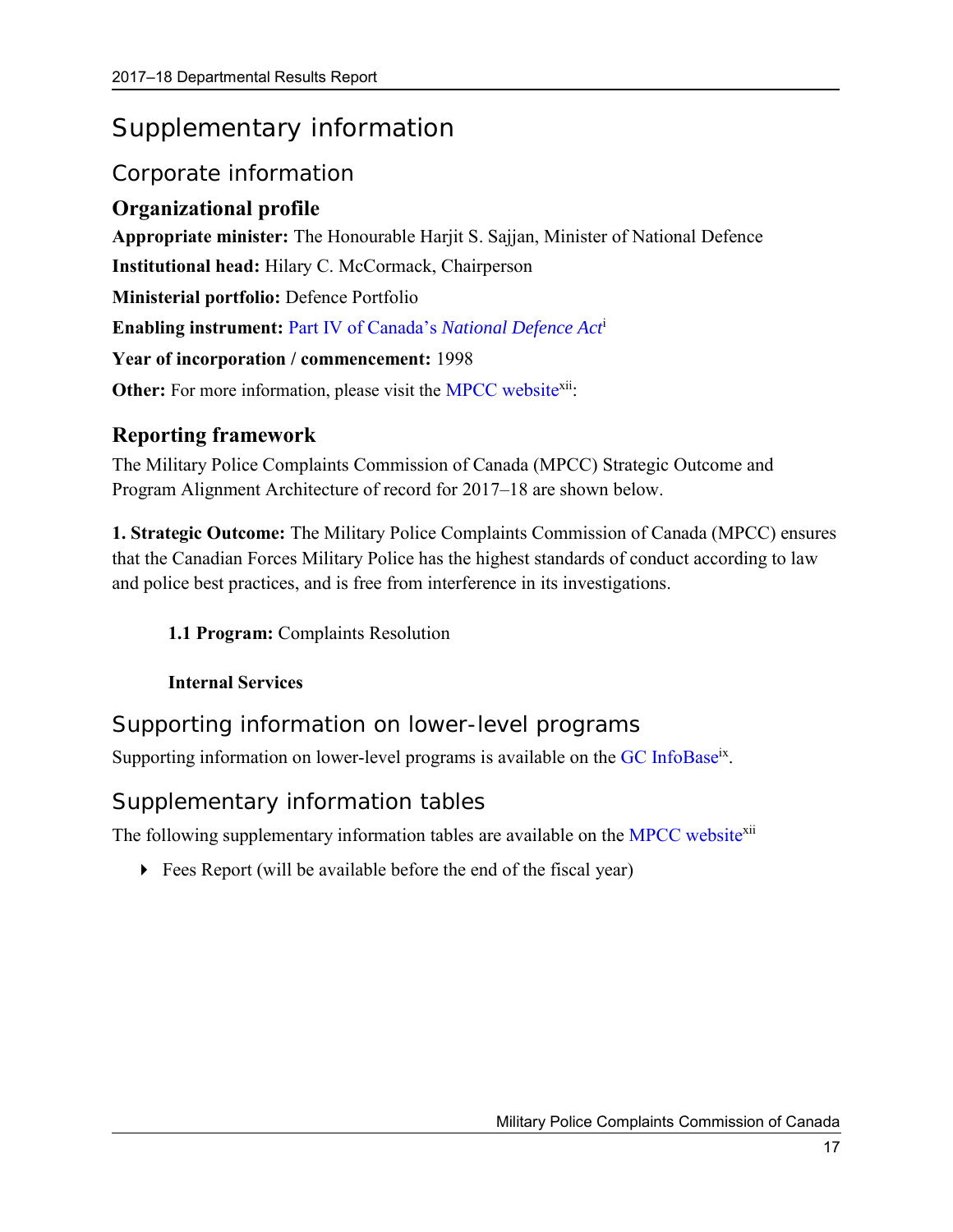## <span id="page-20-0"></span>Supplementary information

## <span id="page-20-1"></span>Corporate information

## <span id="page-20-2"></span>**Organizational profile**

**Appropriate minister:** The Honourable Harjit S. Sajjan, Minister of National Defence **Institutional head:** Hilary C. McCormack, Chairperson **Ministerial portfolio:** Defence Portfolio **Enabling instrument:** Part IV of Canada's *[National Defence Act](http://laws-lois.justice.gc.ca/eng/acts/N-5/)*<sup>i</sup> **Year of incorporation / commencement:** 1998

#### <span id="page-20-5"></span>**Other:** For more information, please visit the MPCC website<sup>xii</sup>:

## <span id="page-20-3"></span>**Reporting framework**

The Military Police Complaints Commission of Canada (MPCC) Strategic Outcome and Program Alignment Architecture of record for 2017–18 are shown below.

**1. Strategic Outcome:** The Military Police Complaints Commission of Canada (MPCC) ensures that the Canadian Forces Military Police has the highest standards of conduct according to law and police best practices, and is free from interference in its investigations.

### **1.1 Program:** Complaints Resolution

#### **Internal Services**

Supporting information on lower-level programs

Supporting information on lower-level programs is available on the [GC InfoBase](https://www.tbs-sct.gc.ca/ems-sgd/edb-bdd/index-eng.html)<sup>[ix](#page-14-1)</sup>.

## <span id="page-20-4"></span>Supplementary information tables

The following supplementary information tables are available on the MPCC website<sup>[xii](#page-20-5)</sup>

Fees Report (will be available before the end of the fiscal year)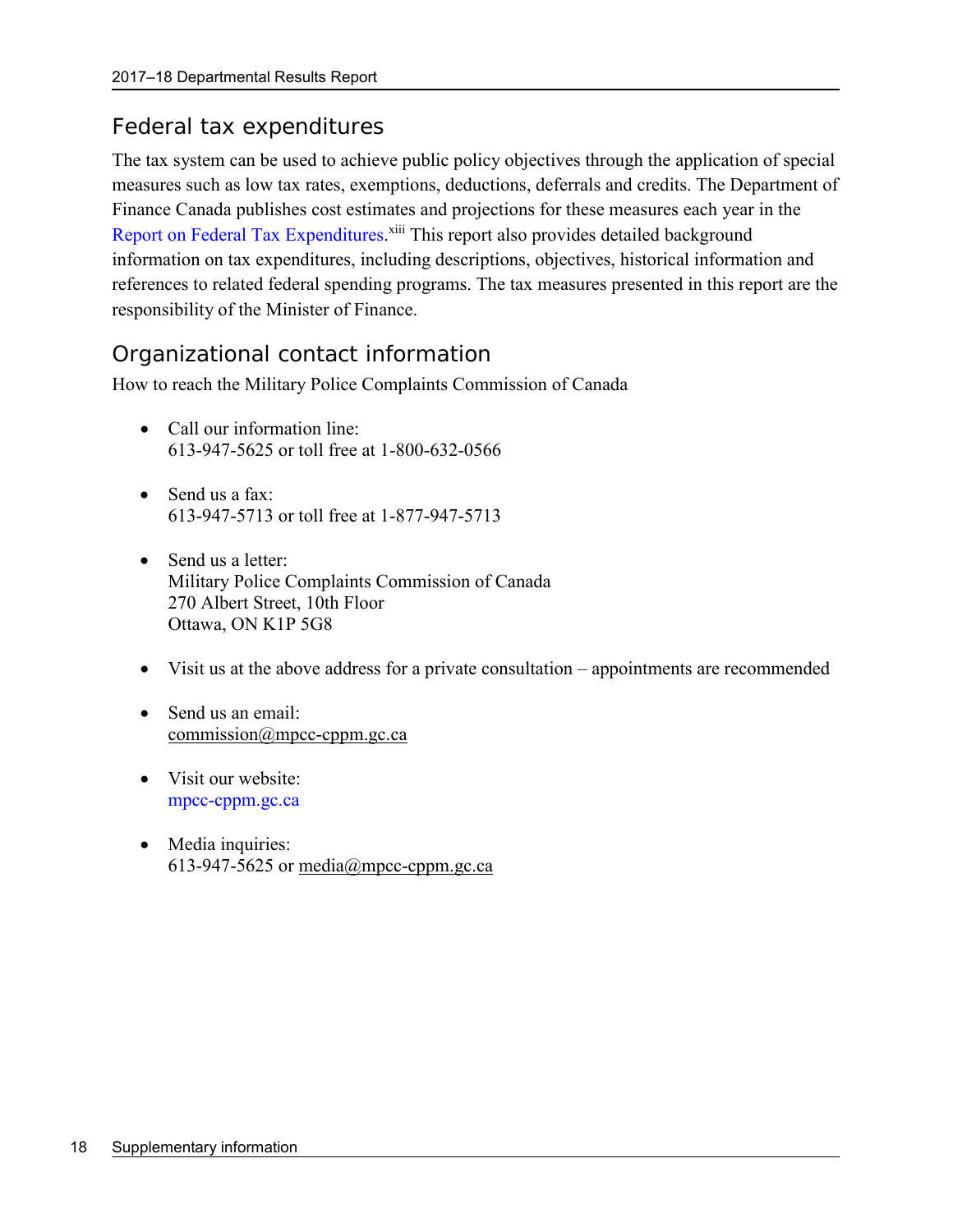### <span id="page-21-0"></span>Federal tax expenditures

The tax system can be used to achieve public policy objectives through the application of special measures such as low tax rates, exemptions, deductions, deferrals and credits. The Department of Finance Canada publishes cost estimates and projections for these measures each year in the [Report on Federal Tax Expenditures.](http://www.fin.gc.ca/purl/taxexp-eng.asp)<sup>xiii</sup> This report also provides detailed background information on tax expenditures, including descriptions, objectives, historical information and references to related federal spending programs. The tax measures presented in this report are the responsibility of the Minister of Finance.

## <span id="page-21-1"></span>Organizational contact information

How to reach the Military Police Complaints Commission of Canada

- Call our information line: 613-947-5625 or toll free at 1-800-632-0566
- Send us a fax: 613-947-5713 or toll free at 1-877-947-5713
- Send us a letter: Military Police Complaints Commission of Canada 270 Albert Street, 10th Floor Ottawa, ON K1P 5G8
- Visit us at the above address for a private consultation appointments are recommended
- Send us an email: [commission@mpcc-cppm.gc.ca](mailto:commission@mpcc-cppm.gc.ca)
- Visit our website: [mpcc-cppm.gc.ca](http://www.mpcc-cppm.gc.ca/)
- Media inquiries: 613-947-5625 or [media@mpcc-cppm.gc.ca](mailto:media@mpcc-cppm.gc.ca)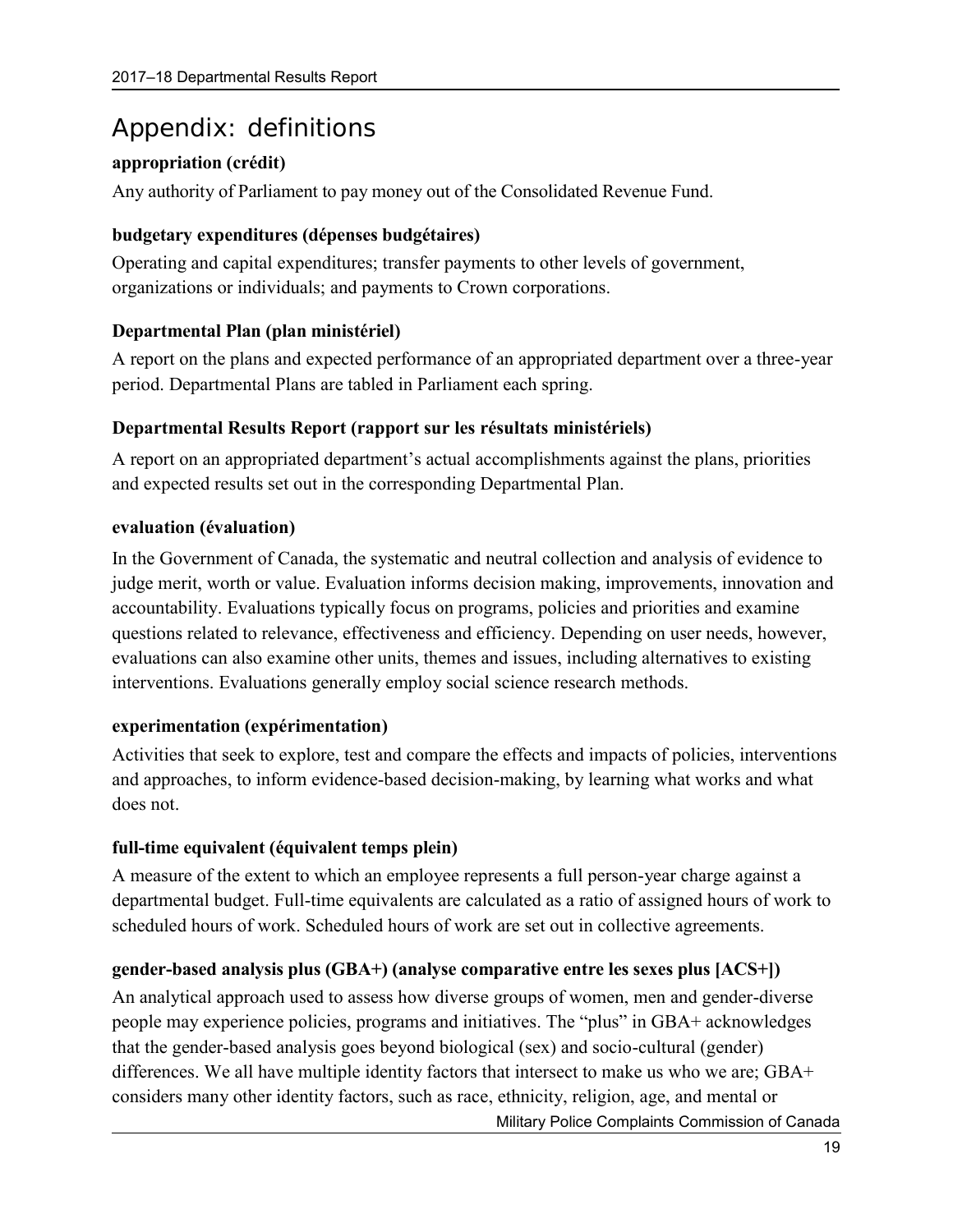## <span id="page-22-0"></span>Appendix: definitions

### **appropriation (crédit)**

Any authority of Parliament to pay money out of the Consolidated Revenue Fund.

#### **budgetary expenditures (dépenses budgétaires)**

Operating and capital expenditures; transfer payments to other levels of government, organizations or individuals; and payments to Crown corporations.

#### **Departmental Plan (plan ministériel)**

A report on the plans and expected performance of an appropriated department over a three-year period. Departmental Plans are tabled in Parliament each spring.

#### **Departmental Results Report (rapport sur les résultats ministériels)**

A report on an appropriated department's actual accomplishments against the plans, priorities and expected results set out in the corresponding Departmental Plan.

#### **evaluation (évaluation)**

In the Government of Canada, the systematic and neutral collection and analysis of evidence to judge merit, worth or value. Evaluation informs decision making, improvements, innovation and accountability. Evaluations typically focus on programs, policies and priorities and examine questions related to relevance, effectiveness and efficiency. Depending on user needs, however, evaluations can also examine other units, themes and issues, including alternatives to existing interventions. Evaluations generally employ social science research methods.

### **experimentation (expérimentation)**

Activities that seek to explore, test and compare the effects and impacts of policies, interventions and approaches, to inform evidence-based decision-making, by learning what works and what does not.

### **full-time equivalent (équivalent temps plein)**

A measure of the extent to which an employee represents a full person-year charge against a departmental budget. Full-time equivalents are calculated as a ratio of assigned hours of work to scheduled hours of work. Scheduled hours of work are set out in collective agreements.

### **gender-based analysis plus (GBA+) (analyse comparative entre les sexes plus [ACS+])**

An analytical approach used to assess how diverse groups of women, men and gender-diverse people may experience policies, programs and initiatives. The "plus" in GBA+ acknowledges that the gender-based analysis goes beyond biological (sex) and socio-cultural (gender) differences. We all have multiple identity factors that intersect to make us who we are; GBA+ considers many other identity factors, such as race, ethnicity, religion, age, and mental or

Military Police Complaints Commission of Canada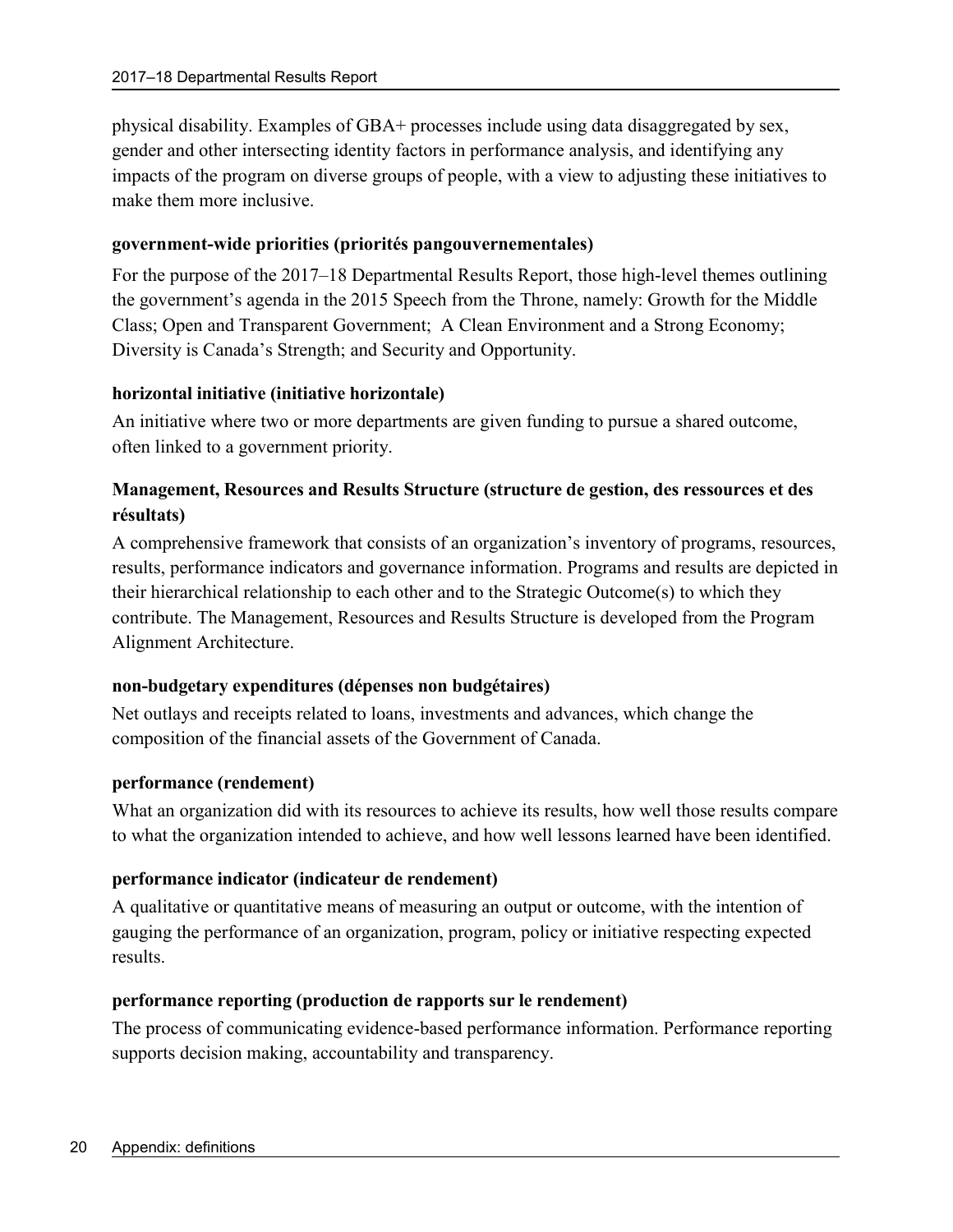physical disability. Examples of GBA+ processes include using data disaggregated by sex, gender and other intersecting identity factors in performance analysis, and identifying any impacts of the program on diverse groups of people, with a view to adjusting these initiatives to make them more inclusive.

#### **government-wide priorities (priorités pangouvernementales)**

For the purpose of the 2017–18 Departmental Results Report, those high-level themes outlining the government's agenda in the 2015 Speech from the Throne, namely: Growth for the Middle Class; Open and Transparent Government; A Clean Environment and a Strong Economy; Diversity is Canada's Strength; and Security and Opportunity.

#### **horizontal initiative (initiative horizontale)**

An initiative where two or more departments are given funding to pursue a shared outcome, often linked to a government priority.

#### **Management, Resources and Results Structure (structure de gestion, des ressources et des résultats)**

A comprehensive framework that consists of an organization's inventory of programs, resources, results, performance indicators and governance information. Programs and results are depicted in their hierarchical relationship to each other and to the Strategic Outcome(s) to which they contribute. The Management, Resources and Results Structure is developed from the Program Alignment Architecture.

#### **non-budgetary expenditures (dépenses non budgétaires)**

Net outlays and receipts related to loans, investments and advances, which change the composition of the financial assets of the Government of Canada.

#### **performance (rendement)**

What an organization did with its resources to achieve its results, how well those results compare to what the organization intended to achieve, and how well lessons learned have been identified.

#### **performance indicator (indicateur de rendement)**

A qualitative or quantitative means of measuring an output or outcome, with the intention of gauging the performance of an organization, program, policy or initiative respecting expected results.

#### **performance reporting (production de rapports sur le rendement)**

The process of communicating evidence-based performance information. Performance reporting supports decision making, accountability and transparency.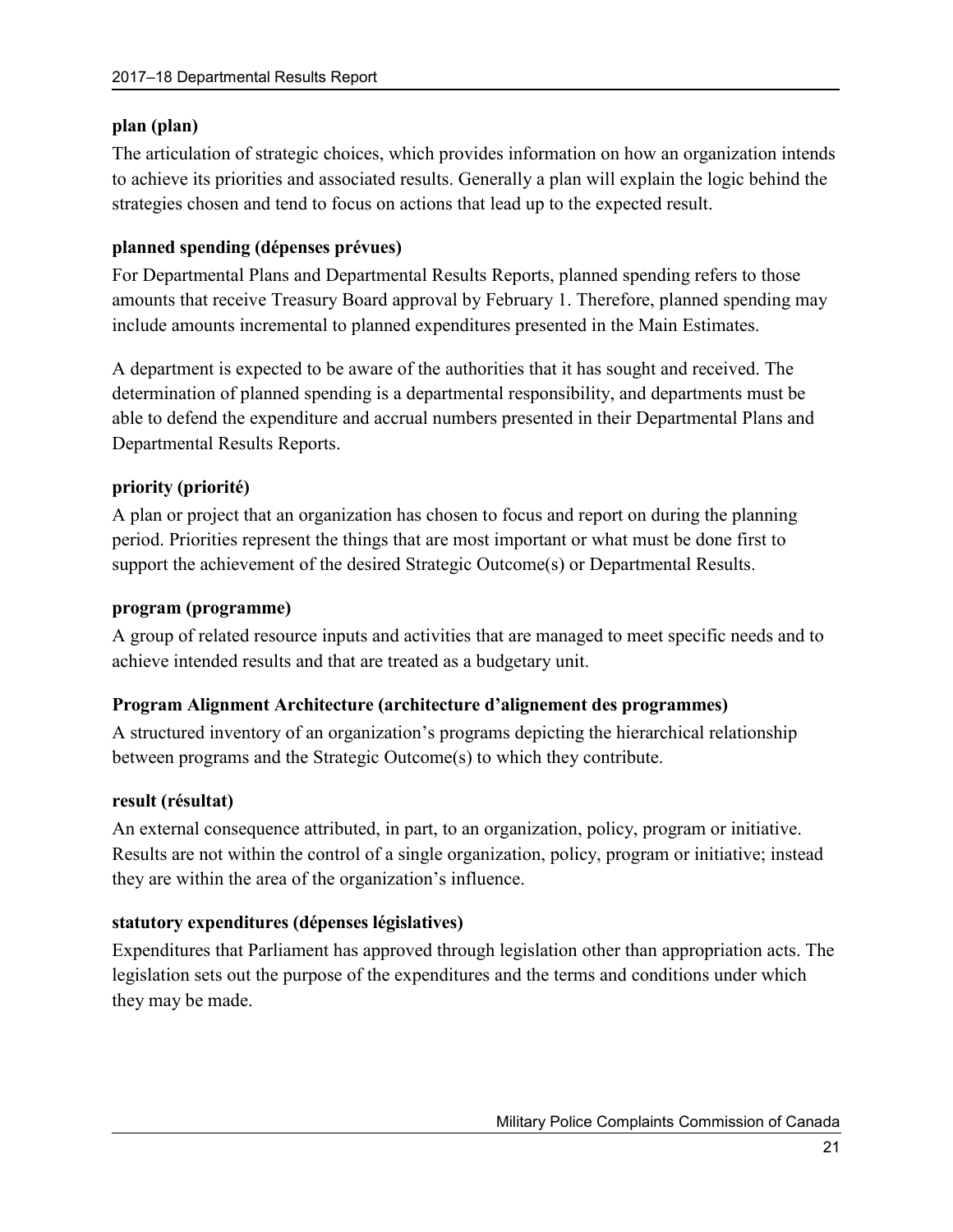#### **plan (plan)**

The articulation of strategic choices, which provides information on how an organization intends to achieve its priorities and associated results. Generally a plan will explain the logic behind the strategies chosen and tend to focus on actions that lead up to the expected result.

#### **planned spending (dépenses prévues)**

For Departmental Plans and Departmental Results Reports, planned spending refers to those amounts that receive Treasury Board approval by February 1. Therefore, planned spending may include amounts incremental to planned expenditures presented in the Main Estimates.

A department is expected to be aware of the authorities that it has sought and received. The determination of planned spending is a departmental responsibility, and departments must be able to defend the expenditure and accrual numbers presented in their Departmental Plans and Departmental Results Reports.

#### **priority (priorité)**

A plan or project that an organization has chosen to focus and report on during the planning period. Priorities represent the things that are most important or what must be done first to support the achievement of the desired Strategic Outcome(s) or Departmental Results.

#### **program (programme)**

A group of related resource inputs and activities that are managed to meet specific needs and to achieve intended results and that are treated as a budgetary unit.

#### **Program Alignment Architecture (architecture d'alignement des programmes)**

A structured inventory of an organization's programs depicting the hierarchical relationship between programs and the Strategic Outcome(s) to which they contribute.

#### **result (résultat)**

An external consequence attributed, in part, to an organization, policy, program or initiative. Results are not within the control of a single organization, policy, program or initiative; instead they are within the area of the organization's influence.

#### **statutory expenditures (dépenses législatives)**

Expenditures that Parliament has approved through legislation other than appropriation acts. The legislation sets out the purpose of the expenditures and the terms and conditions under which they may be made.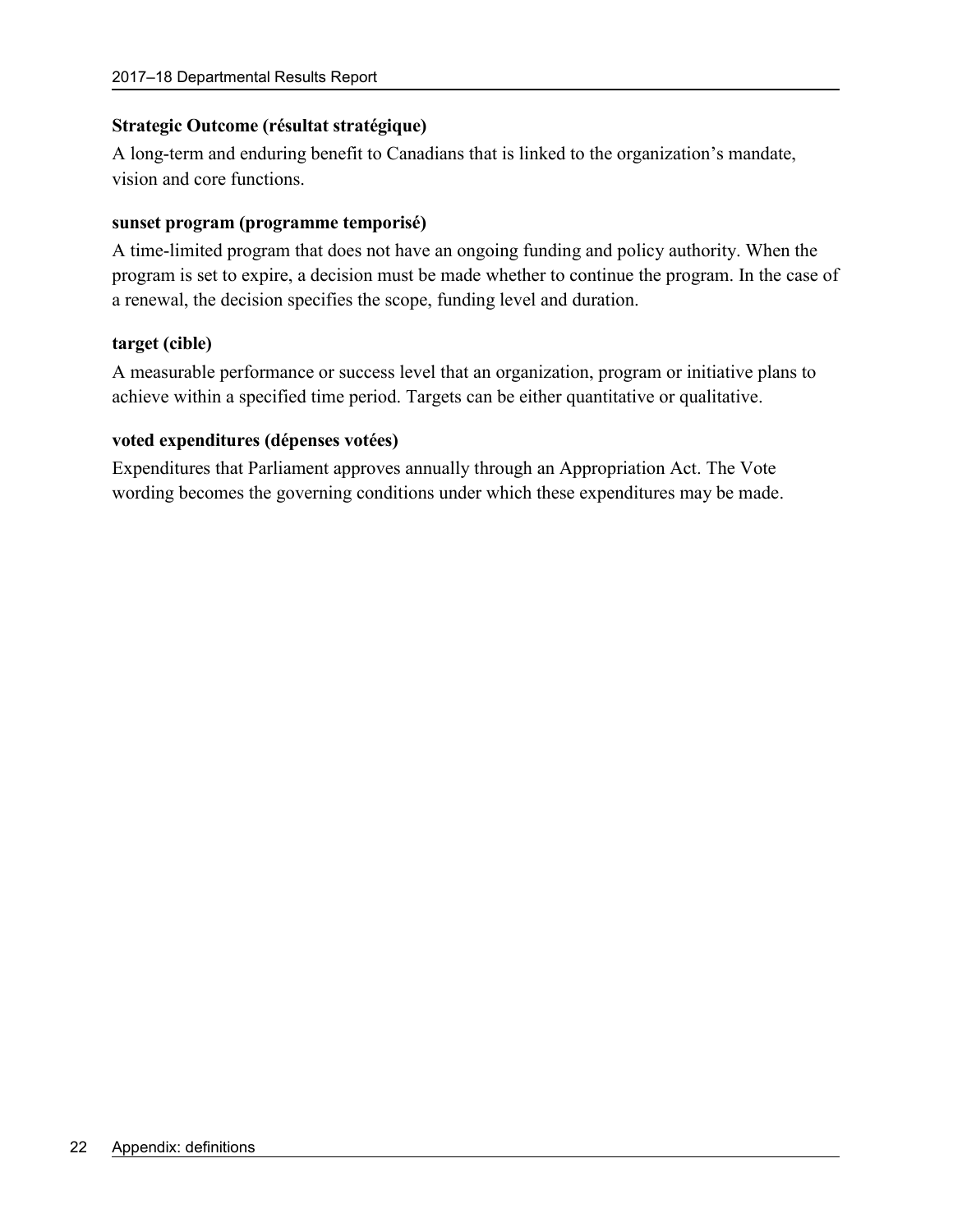#### **Strategic Outcome (résultat stratégique)**

A long-term and enduring benefit to Canadians that is linked to the organization's mandate, vision and core functions.

#### **sunset program (programme temporisé)**

A time-limited program that does not have an ongoing funding and policy authority. When the program is set to expire, a decision must be made whether to continue the program. In the case of a renewal, the decision specifies the scope, funding level and duration.

#### **target (cible)**

A measurable performance or success level that an organization, program or initiative plans to achieve within a specified time period. Targets can be either quantitative or qualitative.

#### **voted expenditures (dépenses votées)**

Expenditures that Parliament approves annually through an Appropriation Act. The Vote wording becomes the governing conditions under which these expenditures may be made.